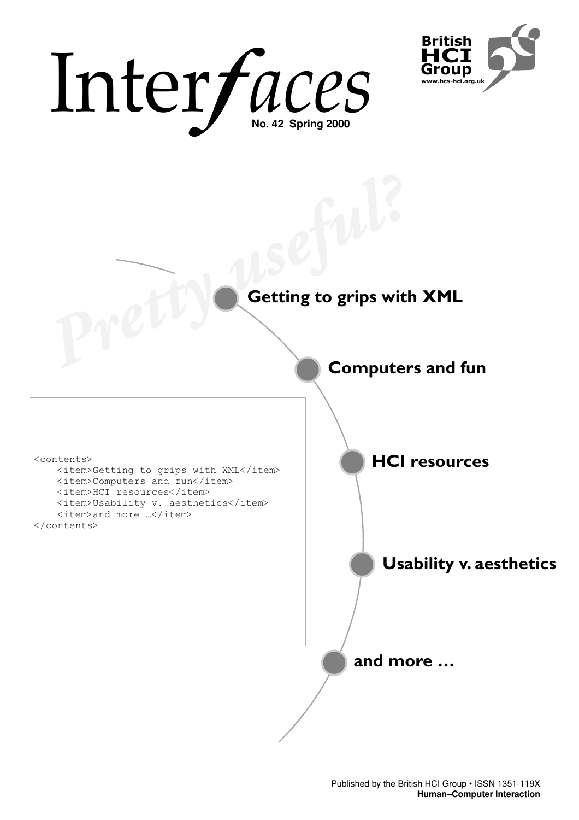# Inter*faces*



# **Getting to grips with XML** Pretty **Vetting to grips with**

<contents>

<item>Getting to grips with XML</item> <item>Computers and fun</item> <item>HCI resources</item> <item>Usability v. aesthetics</item> <item>and more ...</item> </contents>

**HCI resources**

**Computers and fun**

**Usability v. aesthetics**

**and more …**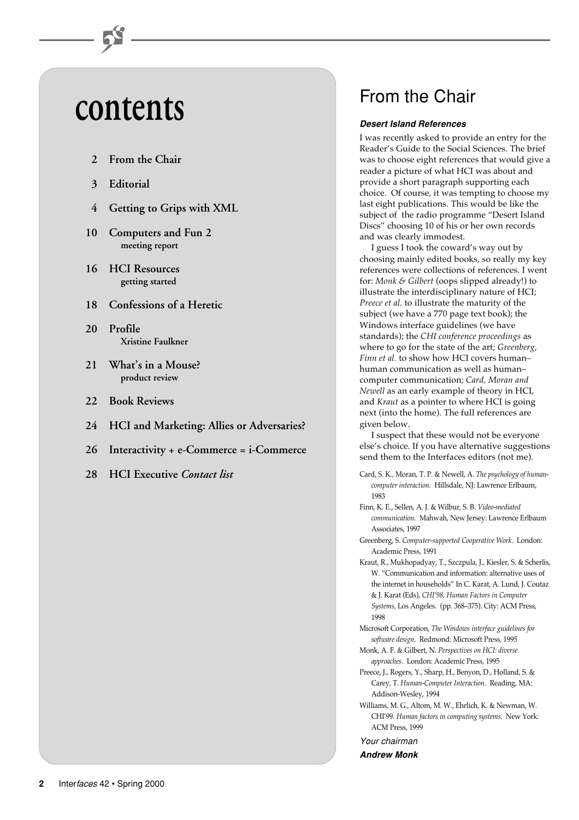# **contents**

- **2 From the Chair**
- **3 Editorial**
- **4 Getting to Grips with XML**
- **10 Computers and Fun 2 meeting report**
- **16 HCI Resources getting started**
- **18 Confessions of a Heretic**
- **20 Profile Xristine Faulkner**
- **21 What's in a Mouse? product review**
- **22 Book Reviews**
- **24 HCI and Marketing: Allies or Adversaries?**
- **26 Interactivity + e-Commerce = i-Commerce**
- **28 HCI Executive** *Contact list*

## From the Chair

#### **Desert Island References**

I was recently asked to provide an entry for the Reader's Guide to the Social Sciences. The brief was to choose eight references that would give a reader a picture of what HCI was about and provide a short paragraph supporting each choice. Of course, it was tempting to choose my last eight publications. This would be like the subject of the radio programme "Desert Island Discs" choosing 10 of his or her own records and was clearly immodest.

I guess I took the coward's way out by choosing mainly edited books, so really my key references were collections of references. I went for: *Monk & Gilbert* (oops slipped already!) to illustrate the interdisciplinary nature of HCI; *Preece et al*. to illustrate the maturity of the subject (we have a 770 page text book); the Windows interface guidelines (we have standards); the *CHI conference proceedings* as where to go for the state of the art; *Greenberg, Finn et al.* to show how HCI covers human– human communication as well as human– computer communication; *Card, Moran and Newell* as an early example of theory in HCI, and *Kraut* as a pointer to where HCI is going next (into the home). The full references are given below.

I suspect that these would not be everyone else's choice. If you have alternative suggestions send them to the Interfaces editors (not me).

- Card, S. K., Moran, T. P. & Newell, A. *The psychology of humancomputer interaction*. Hillsdale, NJ: Lawrence Erlbaum, 1983
- Finn, K. E., Sellen, A. J. & Wilbur, S. B. *Video-mediated communication*. Mahwah, New Jersey: Lawrence Erlbaum Associates, 1997
- Greenberg, S. *Computer-supported Cooperative Work*. London: Academic Press, 1991
- Kraut, R., Mukhopadyay, T., Szczpula, J., Kiesler, S. & Scherlis, W. "Communication and information: alternative uses of the internet in households" In C. Karat, A. Lund, J. Coutaz & J. Karat (Eds), *CHI'98, Human Factors in Computer Systems*, Los Angeles. (pp. 368–375). City: ACM Press, 1998
- Microsoft Corporation, *The Windows interface guidelines for software design*. Redmond: Microsoft Press, 1995
- Monk, A. F. & Gilbert, N. *Perspectives on HCI: diverse approaches*. London: Academic Press, 1995
- Preece, J., Rogers, Y., Sharp, H., Benyon, D., Holland, S. & Carey, T. *Human-Computer Interaction*. Reading, MA: Addison-Wesley, 1994
- Williams, M. G., Altom, M. W., Ehrlich, K. & Newman, W. CHI'99. *Human factors in computing systems*. New York: ACM Press, 1999

Your chairman

**Andrew Monk**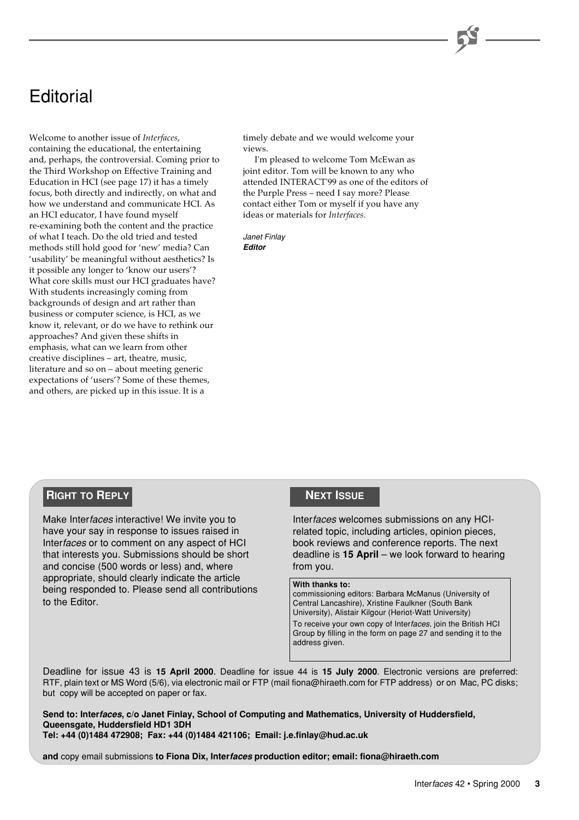## **Editorial**

Welcome to another issue of *Interfaces*, containing the educational, the entertaining and, perhaps, the controversial. Coming prior to the Third Workshop on Effective Training and Education in HCI (see page 17) it has a timely focus, both directly and indirectly, on what and how we understand and communicate HCI. As an HCI educator, I have found myself re-examining both the content and the practice of what I teach. Do the old tried and tested methods still hold good for 'new' media? Can 'usability' be meaningful without aesthetics? Is it possible any longer to 'know our users'? What core skills must our HCI graduates have? With students increasingly coming from backgrounds of design and art rather than business or computer science, is HCI, as we know it, relevant, or do we have to rethink our approaches? And given these shifts in emphasis, what can we learn from other creative disciplines – art, theatre, music, literature and so on – about meeting generic expectations of 'users'? Some of these themes, and others, are picked up in this issue. It is a

timely debate and we would welcome your views.

I'm pleased to welcome Tom McEwan as joint editor. Tom will be known to any who attended INTERACT'99 as one of the editors of the Purple Press – need I say more? Please contact either Tom or myself if you have any ideas or materials for *Interfaces*.

Janet Finlay **Editor**

#### **RIGHT TO REPLY**

Make Interfaces interactive! We invite you to have your say in response to issues raised in Interfaces or to comment on any aspect of HCI that interests you. Submissions should be short and concise (500 words or less) and, where appropriate, should clearly indicate the article being responded to. Please send all contributions to the Editor.

#### **NEXT ISSUE**

Interfaces welcomes submissions on any HCIrelated topic, including articles, opinion pieces, book reviews and conference reports. The next deadline is **15 April** – we look forward to hearing from you.

#### **With thanks to:**

commissioning editors: Barbara McManus (University of Central Lancashire), Xristine Faulkner (South Bank University), Alistair Kilgour (Heriot-Watt University) To receive your own copy of Interfaces, join the British HCI Group by filling in the form on page 27 and sending it to the address given.

Deadline for issue 43 is **15 April 2000**. Deadline for issue 44 is **15 July 2000**. Electronic versions are preferred: RTF, plain text or MS Word (5/6), via electronic mail or FTP (mail fiona@hiraeth.com for FTP address) or on Mac, PC disks; but copy will be accepted on paper or fax.

**Send to: Interfaces, c/o Janet Finlay, School of Computing and Mathematics, University of Huddersfield, Queensgate, Huddersfield HD1 3DH Tel: +44 (0)1484 472908; Fax: +44 (0)1484 421106; Email: j.e.finlay@hud.ac.uk**

**and** copy email submissions **to Fiona Dix, Interfaces production editor; email: fiona@hiraeth.com**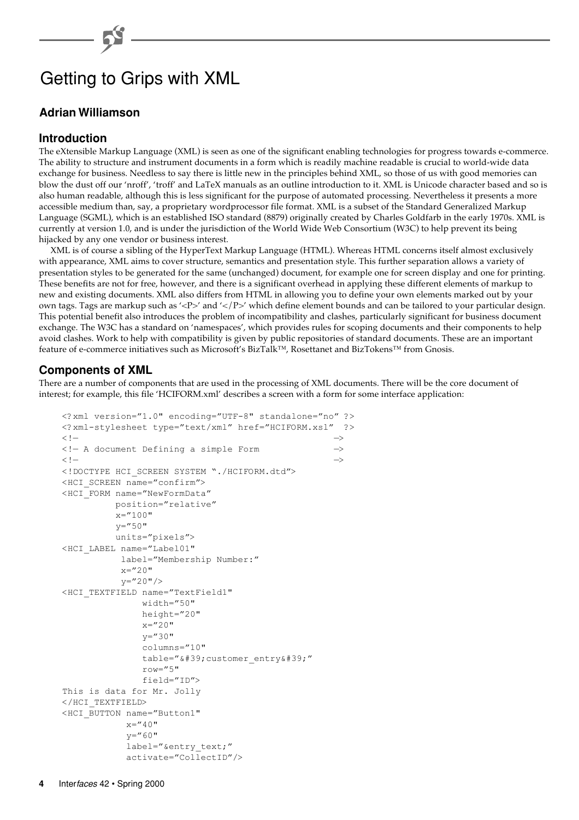## Getting to Grips with XML

#### **Adrian Williamson**

#### **Introduction**

The eXtensible Markup Language (XML) is seen as one of the significant enabling technologies for progress towards e-commerce. The ability to structure and instrument documents in a form which is readily machine readable is crucial to world-wide data exchange for business. Needless to say there is little new in the principles behind XML, so those of us with good memories can blow the dust off our 'nroff', 'troff' and LaTeX manuals as an outline introduction to it. XML is Unicode character based and so is also human readable, although this is less significant for the purpose of automated processing. Nevertheless it presents a more accessible medium than, say, a proprietary wordprocessor file format. XML is a subset of the Standard Generalized Markup Language (SGML), which is an established ISO standard (8879) originally created by Charles Goldfarb in the early 1970s. XML is currently at version 1.0, and is under the jurisdiction of the World Wide Web Consortium (W3C) to help prevent its being hijacked by any one vendor or business interest.

XML is of course a sibling of the HyperText Markup Language (HTML). Whereas HTML concerns itself almost exclusively with appearance, XML aims to cover structure, semantics and presentation style. This further separation allows a variety of presentation styles to be generated for the same (unchanged) document, for example one for screen display and one for printing. These benefits are not for free, however, and there is a significant overhead in applying these different elements of markup to new and existing documents. XML also differs from HTML in allowing you to define your own elements marked out by your own tags. Tags are markup such as '<P>' and '</P>' which define element bounds and can be tailored to your particular design. This potential benefit also introduces the problem of incompatibility and clashes, particularly significant for business document exchange. The W3C has a standard on 'namespaces', which provides rules for scoping documents and their components to help avoid clashes. Work to help with compatibility is given by public repositories of standard documents. These are an important feature of e-commerce initiatives such as Microsoft's BizTalk™, Rosettanet and BizTokens™ from Gnosis.

#### **Components of XML**

There are a number of components that are used in the processing of XML documents. There will be the core document of interest; for example, this file 'HCIFORM.xml' describes a screen with a form for some interface application:

```
<?xml version="1.0" encoding="UTF-8" standalone="no" ?>
<?xml-stylesheet type="text/xml" href="HCIFORM.xsl" ?>
\langle!— \rightarrow<!— A document Defining a simple Form —>
\langle!— \rightarrow<!DOCTYPE HCI_SCREEN SYSTEM "./HCIFORM.dtd">
<HCI_SCREEN name="confirm">
<HCI_FORM name="NewFormData"
          position="relative"
         x ="100"
         y = 50"
          units="pixels">
<HCI_LABEL name="Label01"
          label="Membership Number:"
         x = 20"
           y="20"/>
<HCI_TEXTFIELD name="TextField1"
              width="50"
              height="20"
             x = 20"v ="30"
              columns="10"
             table="' customer_entry'"
              row="5"
              field="ID">
This is data for Mr. Jolly
</HCI_TEXTFIELD>
<HCI_BUTTON name="Button1"
          x = 40"v ="60"
           label="&entry_text;"
            activate="CollectID"/>
```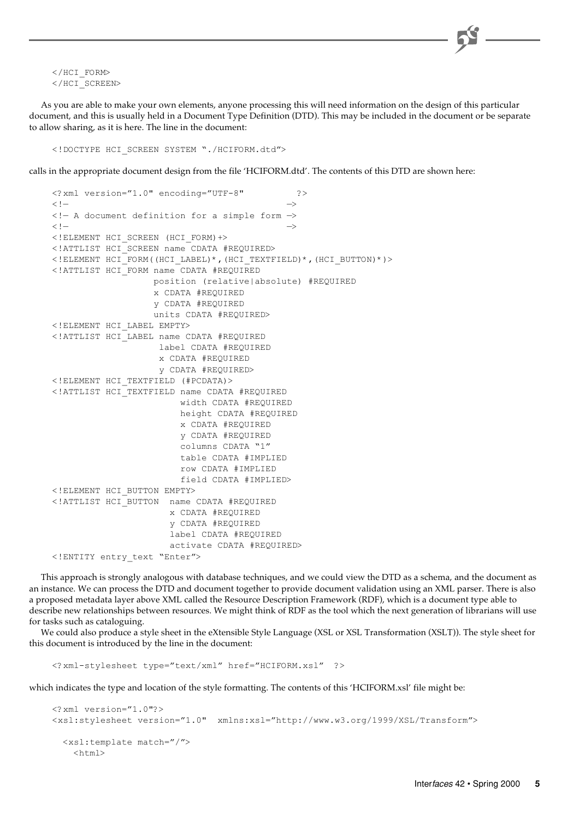$<$ /HCI\_FORM $>$ </HCI\_SCREEN>

As you are able to make your own elements, anyone processing this will need information on the design of this particular document, and this is usually held in a Document Type Definition (DTD). This may be included in the document or be separate to allow sharing, as it is here. The line in the document:

<!DOCTYPE HCI\_SCREEN SYSTEM "./HCIFORM.dtd">

calls in the appropriate document design from the file 'HCIFORM.dtd'. The contents of this DTD are shown here:

```
<?xml version="1.0" encoding="UTF-8" ?>
\langle!—\rightarrow\langle -| A document definition for a simple form \rightarrow\langle!—\rightarrow<!ELEMENT HCI_SCREEN (HCI_FORM)+>
<!ATTLIST HCI_SCREEN name CDATA #REQUIRED>
<!ELEMENT HCI_FORM((HCI_LABEL)*,(HCI_TEXTFIELD)*,(HCI_BUTTON)*)>
<!ATTLIST HCI_FORM name CDATA #REQUIRED
                   position (relative|absolute) #REQUIRED
                   x CDATA #REQUIRED
                   y CDATA #REQUIRED
                   units CDATA #REQUIRED>
<!ELEMENT HCI_LABEL EMPTY>
<!ATTLIST HCI_LABEL name CDATA #REQUIRED
                    label CDATA #REQUIRED
                    x CDATA #REQUIRED
                    y CDATA #REQUIRED>
<!ELEMENT HCI_TEXTFIELD (#PCDATA)>
<!ATTLIST HCI_TEXTFIELD name CDATA #REQUIRED
                        width CDATA #REQUIRED
                        height CDATA #REQUIRED
                        x CDATA #REQUIRED
                        y CDATA #REQUIRED
                        columns CDATA "1"
                        table CDATA #IMPLIED
                        row CDATA #IMPLIED
                        field CDATA #IMPLIED>
<!ELEMENT HCI_BUTTON EMPTY>
<!ATTLIST HCI_BUTTON name CDATA #REQUIRED
                      x CDATA #REQUIRED
                      y CDATA #REQUIRED
                      label CDATA #REQUIRED
                      activate CDATA #REQUIRED>
<!ENTITY entry_text "Enter">
```
This approach is strongly analogous with database techniques, and we could view the DTD as a schema, and the document as an instance. We can process the DTD and document together to provide document validation using an XML parser. There is also a proposed metadata layer above XML called the Resource Description Framework (RDF), which is a document type able to describe new relationships between resources. We might think of RDF as the tool which the next generation of librarians will use for tasks such as cataloguing.

We could also produce a style sheet in the eXtensible Style Language (XSL or XSL Transformation (XSLT)). The style sheet for this document is introduced by the line in the document:

<?xml-stylesheet type="text/xml" href="HCIFORM.xsl" ?>

which indicates the type and location of the style formatting. The contents of this 'HCIFORM.xsl' file might be:

```
<?xml version="1.0"?>
<xsl:stylesheet version="1.0" xmlns:xsl="http://www.w3.org/1999/XSL/Transform">
  <xsl:template match="/">
   <h+ml>
```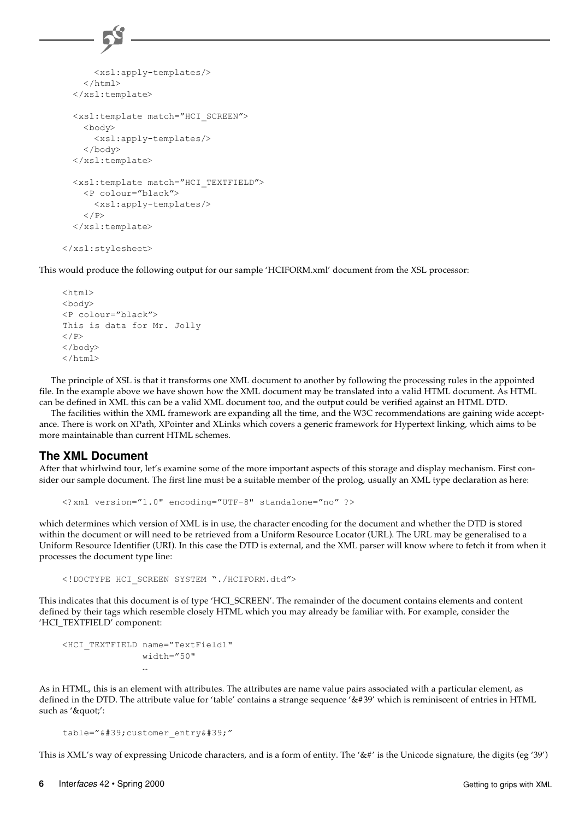```
 <xsl:apply-templates/>
    \langle/html>
   </xsl:template>
   <xsl:template match="HCI_SCREEN">
    <body>
       <xsl:apply-templates/>
     </body>
   </xsl:template>
   <xsl:template match="HCI_TEXTFIELD">
     <P colour="black">
       <xsl:apply-templates/>
    \langle/P> </xsl:template>
</xsl:stylesheet>
```
This would produce the following output for our sample 'HCIFORM.xml' document from the XSL processor:

```
<html><br/>body>
<P colour="black">
This is data for Mr. Jolly
\langle/P></body>
\langle/html>
```
The principle of XSL is that it transforms one XML document to another by following the processing rules in the appointed file. In the example above we have shown how the XML document may be translated into a valid HTML document. As HTML can be defined in XML this can be a valid XML document too, and the output could be verified against an HTML DTD.

The facilities within the XML framework are expanding all the time, and the W3C recommendations are gaining wide acceptance. There is work on XPath, XPointer and XLinks which covers a generic framework for Hypertext linking, which aims to be more maintainable than current HTML schemes.

#### **The XML Document**

After that whirlwind tour, let's examine some of the more important aspects of this storage and display mechanism. First consider our sample document. The first line must be a suitable member of the prolog, usually an XML type declaration as here:

```
<?xml version="1.0" encoding="UTF-8" standalone="no" ?>
```
which determines which version of XML is in use, the character encoding for the document and whether the DTD is stored within the document or will need to be retrieved from a Uniform Resource Locator (URL). The URL may be generalised to a Uniform Resource Identifier (URI). In this case the DTD is external, and the XML parser will know where to fetch it from when it processes the document type line:

<!DOCTYPE HCI\_SCREEN SYSTEM "./HCIFORM.dtd">

This indicates that this document is of type 'HCI\_SCREEN'. The remainder of the document contains elements and content defined by their tags which resemble closely HTML which you may already be familiar with. For example, consider the 'HCI\_TEXTFIELD' component:

```
<HCI_TEXTFIELD name="TextField1"
             width="50"
 …
```
As in HTML, this is an element with attributes. The attributes are name value pairs associated with a particular element, as defined in the DTD. The attribute value for 'table' contains a strange sequence '&#39' which is reminiscent of entries in HTML such as '"':

```
table="' customer_entry'"
```
This is XML's way of expressing Unicode characters, and is a form of entity. The '&#' is the Unicode signature, the digits (eg '39')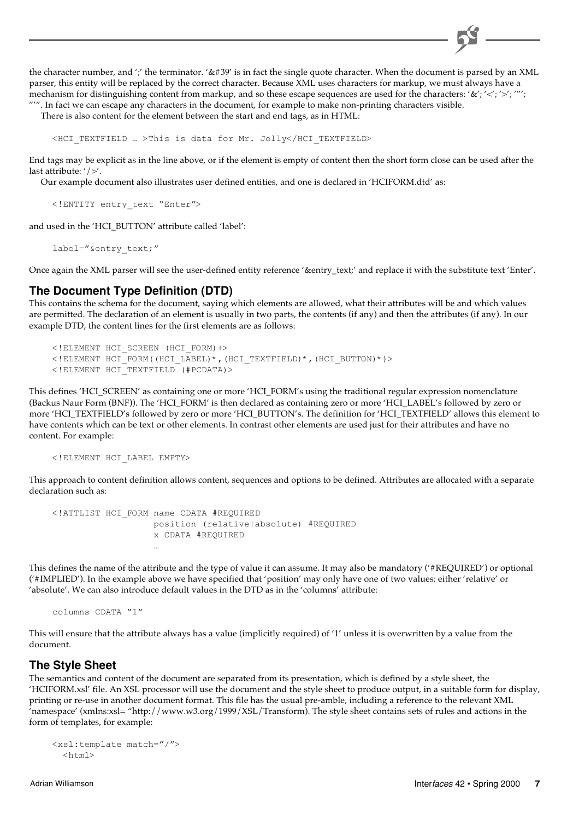the character number, and ';' the terminator. '&#39' is in fact the single quote character. When the document is parsed by an XML parser, this entity will be replaced by the correct character. Because XML uses characters for markup, we must always have a mechanism for distinguishing content from markup, and so these escape sequences are used for the characters: '&';' <';' '''; "'". In fact we can escape any characters in the document, for example to make non-printing characters visible.

There is also content for the element between the start and end tags, as in HTML:

<HCI\_TEXTFIELD … >This is data for Mr. Jolly</HCI\_TEXTFIELD>

End tags may be explicit as in the line above, or if the element is empty of content then the short form close can be used after the last attribute: '/>'.

Our example document also illustrates user defined entities, and one is declared in 'HCIFORM.dtd' as:

<!ENTITY entry\_text "Enter">

and used in the 'HCI\_BUTTON' attribute called 'label':

label="&entry\_text;"

Once again the XML parser will see the user-defined entity reference '&entry\_text;' and replace it with the substitute text 'Enter'.

#### **The Document Type Definition (DTD)**

This contains the schema for the document, saying which elements are allowed, what their attributes will be and which values are permitted. The declaration of an element is usually in two parts, the contents (if any) and then the attributes (if any). In our example DTD, the content lines for the first elements are as follows:

```
<!ELEMENT HCI_SCREEN (HCI_FORM)+>
<!ELEMENT HCI_FORM((HCI_LABEL)*,(HCI_TEXTFIELD)*,(HCI_BUTTON)*)>
<!ELEMENT HCI_TEXTFIELD (#PCDATA)>
```
This defines 'HCI\_SCREEN' as containing one or more 'HCI\_FORM's using the traditional regular expression nomenclature (Backus Naur Form (BNF)). The 'HCI\_FORM' is then declared as containing zero or more 'HCI\_LABEL's followed by zero or more 'HCI\_TEXTFIELD's followed by zero or more 'HCI\_BUTTON's. The definition for 'HCI\_TEXTFIELD' allows this element to have contents which can be text or other elements. In contrast other elements are used just for their attributes and have no content. For example:

```
<!ELEMENT HCI_LABEL EMPTY>
```
This approach to content definition allows content, sequences and options to be defined. Attributes are allocated with a separate declaration such as:

```
<!ATTLIST HCI_FORM name CDATA #REQUIRED
                 position (relative|absolute) #REQUIRED
                 x CDATA #REQUIRED
 …
```
This defines the name of the attribute and the type of value it can assume. It may also be mandatory ('#REQUIRED') or optional ('#IMPLIED'). In the example above we have specified that 'position' may only have one of two values: either 'relative' or 'absolute'. We can also introduce default values in the DTD as in the 'columns' attribute:

```
columns CDATA "1"
```
This will ensure that the attribute always has a value (implicitly required) of '1' unless it is overwritten by a value from the document.

#### **The Style Sheet**

The semantics and content of the document are separated from its presentation, which is defined by a style sheet, the 'HCIFORM.xsl' file. An XSL processor will use the document and the style sheet to produce output, in a suitable form for display, printing or re-use in another document format. This file has the usual pre-amble, including a reference to the relevant XML 'namespace' (xmlns:xsl= "http://www.w3.org/1999/XSL/Transform). The style sheet contains sets of rules and actions in the form of templates, for example:

```
<xsl:template match="/">
 <h+ml>
```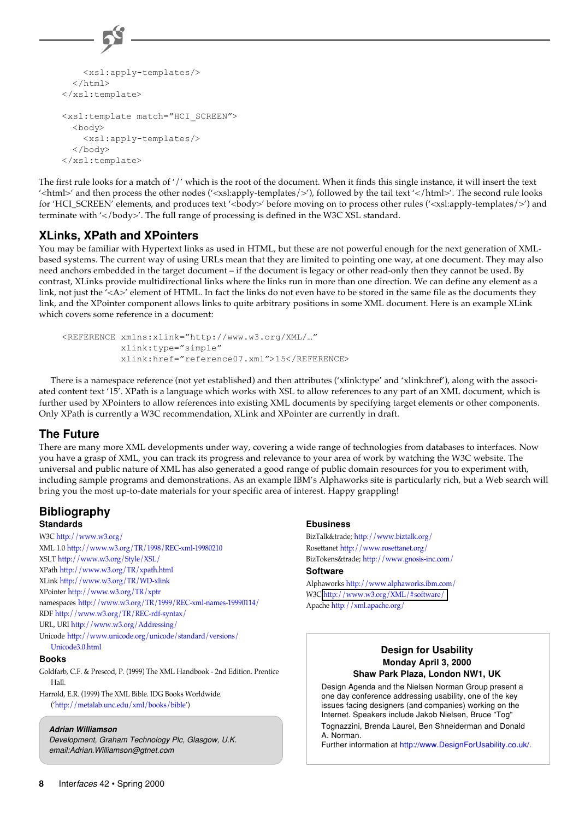```
 <xsl:apply-templates/>
  \langle/html>
</xsl:template>
<xsl:template match="HCI_SCREEN">
  <br/>body>
     <xsl:apply-templates/>
   </body>
</xsl:template>
```
The first rule looks for a match of '/' which is the root of the document. When it finds this single instance, it will insert the text '<html>' and then process the other nodes ('<xsl:apply-templates/>'), followed by the tail text '</html>'. The second rule looks for 'HCI\_SCREEN' elements, and produces text '<br/>body>' before moving on to process other rules ('<xsl:apply-templates/>') and terminate with '</body>'. The full range of processing is defined in the W3C XSL standard.

#### **XLinks, XPath and XPointers**

You may be familiar with Hypertext links as used in HTML, but these are not powerful enough for the next generation of XMLbased systems. The current way of using URLs mean that they are limited to pointing one way, at one document. They may also need anchors embedded in the target document – if the document is legacy or other read-only then they cannot be used. By contrast, XLinks provide multidirectional links where the links run in more than one direction. We can define any element as a link, not just the '<A>' element of HTML. In fact the links do not even have to be stored in the same file as the documents they link, and the XPointer component allows links to quite arbitrary positions in some XML document. Here is an example XLink which covers some reference in a document:

```
<REFERENCE xmlns:xlink="http://www.w3.org/XML/…"
            xlink:type="simple"
            xlink:href="reference07.xml">15</REFERENCE>
```
There is a namespace reference (not yet established) and then attributes ('xlink:type' and 'xlink:href'), along with the associated content text '15'. XPath is a language which works with XSL to allow references to any part of an XML document, which is further used by XPointers to allow references into existing XML documents by specifying target elements or other components. Only XPath is currently a W3C recommendation, XLink and XPointer are currently in draft.

#### **The Future**

There are many more XML developments under way, covering a wide range of technologies from databases to interfaces. Now you have a grasp of XML, you can track its progress and relevance to your area of work by watching the W3C website. The universal and public nature of XML has also generated a good range of public domain resources for you to experiment with, including sample programs and demonstrations. As an example IBM's Alphaworks site is particularly rich, but a Web search will bring you the most up-to-date materials for your specific area of interest. Happy grappling!

#### **Bibliography Standards**

W3C <http://www.w3.org/> XML 1.0 <http://www.w3.org/TR/1998/REC-xml-19980210> XSLT <http://www.w3.org/Style/XSL/> XPath <http://www.w3.org/TR/xpath.html> XLink <http://www.w3.org/TR/WD-xlink> XPointer <http://www.w3.org/TR/xptr> namespaces <http://www.w3.org/TR/1999/REC-xml-names-19990114/> RDF <http://www.w3.org/TR/REC-rdf-syntax/> URL, URI <http://www.w3.org/Addressing/> Unicode [http://www.unicode.org/unicode/standard/versions/](http://www.unicode.org/unicode/standard/versions/Unicode3.0.html)

### Unicode3.0.html

#### **Books**

Goldfarb, C.F. & Prescod, P. (1999) The XML Handbook - 2nd Edition. Prentice Hall.

Harrold, E.R. (1999) The XML Bible. IDG Books Worldwide. (['http://metalab.unc.edu/xml/books/bible'\)](http://metalab.unc.edu/xml/books/bible)

#### **Adrian Williamson**

Development, Graham Technology Plc, Glasgow, U.K. email:Adrian.Williamson@gtnet.com

#### **Ebusiness**

BizTalk™ <http://www.biztalk.org/> Rosettanet <http://www.rosettanet.org/> BizTokens™ <http://www.gnosis-inc.com/>

#### **Software**

Alphaworks <http://www.alphaworks.ibm.com/> W3C <http://www.w3.org/XML/#software/> Apache <http://xml.apache.org/>

#### **Design for Usability Monday April 3, 2000 Shaw Park Plaza, London NW1, UK**

Design Agenda and the Nielsen Norman Group present a one day conference addressing usability, one of the key issues facing designers (and companies) working on the Internet. Speakers include Jakob Nielsen, Bruce "Tog" Tognazzini, Brenda Laurel, Ben Shneiderman and Donald A. Norman.

Further information at<http://www.DesignForUsability.co.uk/.>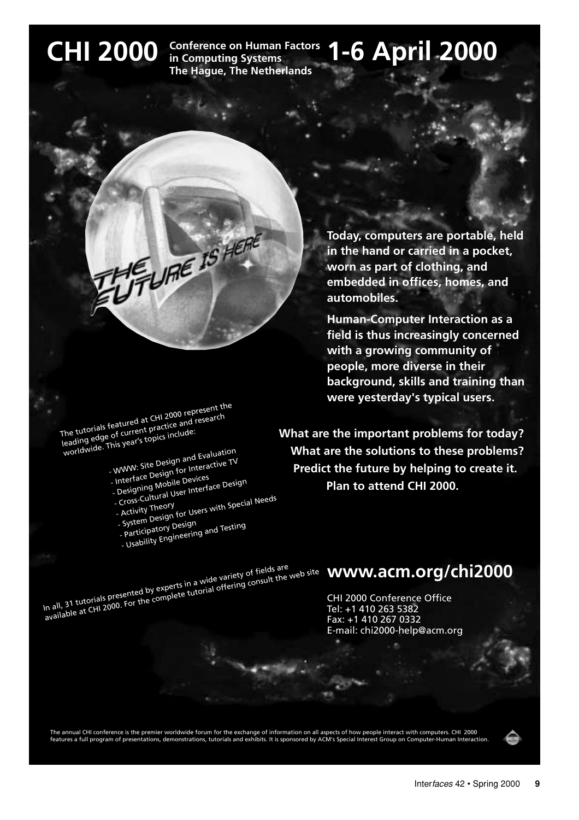**CHI 2000** Conference on Human Factors 1-6 April 2000 **Conference on Human Factors in Computing Systems The Hague, The Netherlands**

The tutorials featured at CHI 2000 represent the Incorporation certains are charged of current practice and research worldwide. This year's topics include:

- WWW: Site Design and Evaluation - Interface Design for Interactive TV

TUE URE IS HERE

- Designing Mobile Devices - Cross-Cultural User Interface Design<br>- Cross-Cultural User Interface Design<br>- Activity Theory
	- Cross-Cultural OST<br>- Activity Theory<br>- System Design for Users with Special Needs<br>- System Design Testing
	- Activity Theory
	-
	- Participatory Design - Usability Engineering and Testing
	-

**Today, computers are portable, held in the hand or carried in a pocket, worn as part of clothing, and embedded in offices, homes, and automobiles.** 

**Human-Computer Interaction as a field is thus increasingly concerned with a growing community of people, more diverse in their background, skills and training than were yesterday's typical users.**

**What are the important problems for today? What are the solutions to these problems? Predict the future by helping to create it. Plan to attend CHI 2000.** 

In all, 31 tutorials presented by experts in a wide variety of fields are<br>available at CHI 2000. For the complete tutorial offering consult the web site

## **www.acm.org/chi2000**

CHI 2000 Conference Office Tel: +1 410 263 5382 Fax: +1 410 267 0332 E-mail: chi2000-help@acm.org

The annual CHI conference is the premier worldwide forum for the exchange of information on all aspects of how people interact with computers. CHI 2000<br>features a full program of presentations, demonstrations, tutorials a

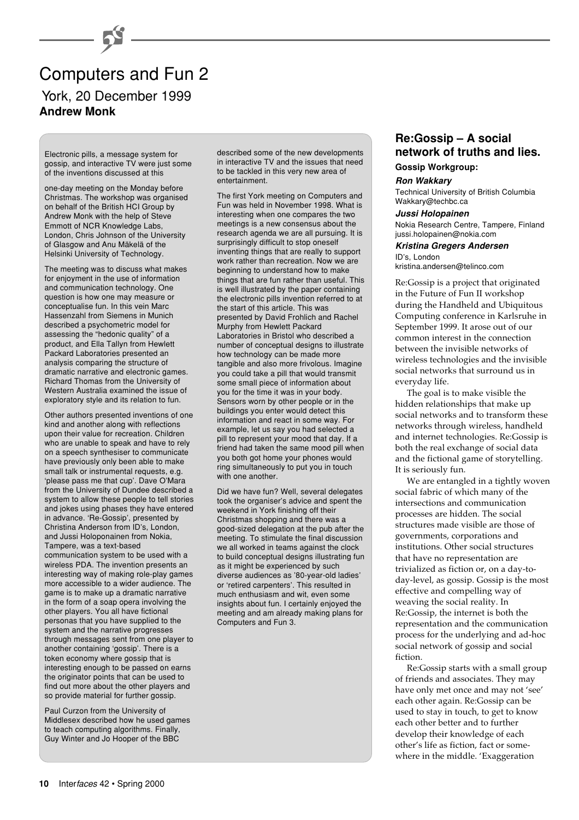## Computers and Fun 2 York, 20 December 1999 **Andrew Monk**

 $\overline{\phantom{a}}$ 

Electronic pills, a message system for gossip, and interactive TV were just some of the inventions discussed at this

one-day meeting on the Monday before Christmas. The workshop was organised on behalf of the British HCI Group by Andrew Monk with the help of Steve Emmott of NCR Knowledge Labs, London, Chris Johnson of the University of Glasgow and Anu Mäkelä of the Helsinki University of Technology.

The meeting was to discuss what makes for enjoyment in the use of information and communication technology. One question is how one may measure or conceptualise fun. In this vein Marc Hassenzahl from Siemens in Munich described a psychometric model for assessing the "hedonic quality" of a product, and Ella Tallyn from Hewlett Packard Laboratories presented an analysis comparing the structure of dramatic narrative and electronic games. Richard Thomas from the University of Western Australia examined the issue of exploratory style and its relation to fun.

Other authors presented inventions of one kind and another along with reflections upon their value for recreation. Children who are unable to speak and have to rely on a speech synthesiser to communicate have previously only been able to make small talk or instrumental requests, e.g. 'please pass me that cup'. Dave O'Mara from the University of Dundee described a system to allow these people to tell stories and jokes using phases they have entered in advance. 'Re-Gossip', presented by Christina Anderson from ID's, London, and Jussi Holoponainen from Nokia, Tampere, was a text-based communication system to be used with a wireless PDA. The invention presents an interesting way of making role-play games more accessible to a wider audience. The game is to make up a dramatic narrative in the form of a soap opera involving the other players. You all have fictional personas that you have supplied to the system and the narrative progresses through messages sent from one player to another containing 'gossip'. There is a token economy where gossip that is interesting enough to be passed on earns the originator points that can be used to find out more about the other players and so provide material for further gossip.

Paul Curzon from the University of Middlesex described how he used games to teach computing algorithms. Finally, Guy Winter and Jo Hooper of the BBC

described some of the new developments in interactive TV and the issues that need to be tackled in this very new area of entertainment.

The first York meeting on Computers and Fun was held in November 1998. What is interesting when one compares the two meetings is a new consensus about the research agenda we are all pursuing. It is surprisingly difficult to stop oneself inventing things that are really to support work rather than recreation. Now we are beginning to understand how to make things that are fun rather than useful. This is well illustrated by the paper containing the electronic pills invention referred to at the start of this article. This was presented by David Frohlich and Rachel Murphy from Hewlett Packard Laboratories in Bristol who described a number of conceptual designs to illustrate how technology can be made more tangible and also more frivolous. Imagine you could take a pill that would transmit some small piece of information about you for the time it was in your body. Sensors worn by other people or in the buildings you enter would detect this information and react in some way. For example, let us say you had selected a pill to represent your mood that day. If a friend had taken the same mood pill when you both got home your phones would ring simultaneously to put you in touch with one another.

Did we have fun? Well, several delegates took the organiser's advice and spent the weekend in York finishing off their Christmas shopping and there was a good-sized delegation at the pub after the meeting. To stimulate the final discussion we all worked in teams against the clock to build conceptual designs illustrating fun as it might be experienced by such diverse audiences as '80-year-old ladies' or 'retired carpenters'. This resulted in much enthusiasm and wit, even some insights about fun. I certainly enjoyed the meeting and am already making plans for Computers and Fun 3.

#### **Re:Gossip – A social network of truths and lies. Gossip Workgroup:**

**Ron Wakkary**

Technical University of British Columbia Wakkary@techbc.ca

#### **Jussi Holopainen**

Nokia Research Centre, Tampere, Finland jussi.holopainen@nokia.com

#### **Kristina Gregers Andersen**

ID's, London kristina.andersen@telinco.com

Re:Gossip is a project that originated in the Future of Fun II workshop during the Handheld and Ubiquitous Computing conference in Karlsruhe in September 1999. It arose out of our common interest in the connection between the invisible networks of wireless technologies and the invisible social networks that surround us in everyday life.

The goal is to make visible the hidden relationships that make up social networks and to transform these networks through wireless, handheld and internet technologies. Re:Gossip is both the real exchange of social data and the fictional game of storytelling. It is seriously fun.

We are entangled in a tightly woven social fabric of which many of the intersections and communication processes are hidden. The social structures made visible are those of governments, corporations and institutions. Other social structures that have no representation are trivialized as fiction or, on a day-today-level, as gossip. Gossip is the most effective and compelling way of weaving the social reality. In Re:Gossip, the internet is both the representation and the communication process for the underlying and ad-hoc social network of gossip and social fiction.

Re:Gossip starts with a small group of friends and associates. They may have only met once and may not 'see' each other again. Re:Gossip can be used to stay in touch, to get to know each other better and to further develop their knowledge of each other's life as fiction, fact or somewhere in the middle. 'Exaggeration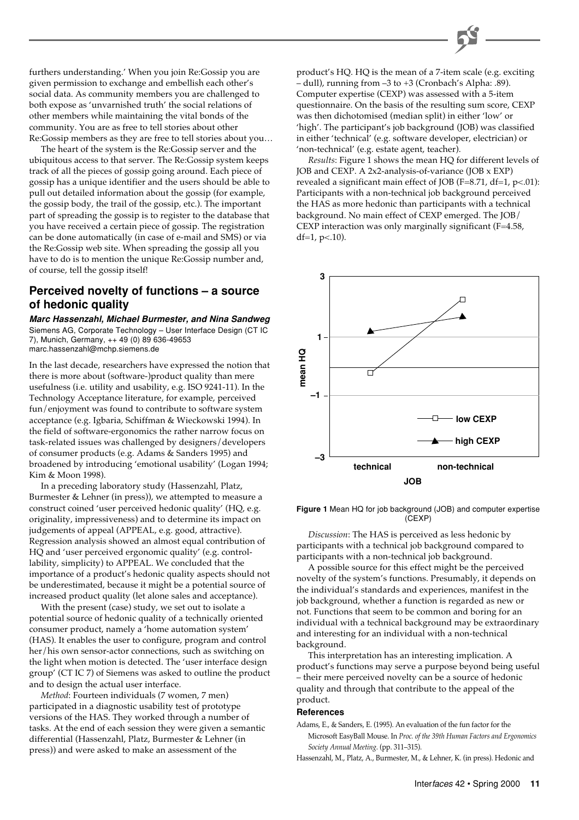

furthers understanding.' When you join Re:Gossip you are given permission to exchange and embellish each other's social data. As community members you are challenged to both expose as 'unvarnished truth' the social relations of other members while maintaining the vital bonds of the community. You are as free to tell stories about other Re:Gossip members as they are free to tell stories about you…

The heart of the system is the Re:Gossip server and the ubiquitous access to that server. The Re:Gossip system keeps track of all the pieces of gossip going around. Each piece of gossip has a unique identifier and the users should be able to pull out detailed information about the gossip (for example, the gossip body, the trail of the gossip, etc.). The important part of spreading the gossip is to register to the database that you have received a certain piece of gossip. The registration can be done automatically (in case of e-mail and SMS) or via the Re:Gossip web site. When spreading the gossip all you have to do is to mention the unique Re:Gossip number and, of course, tell the gossip itself!

#### **Perceived novelty of functions – a source of hedonic quality**

**Marc Hassenzahl, Michael Burmester, and Nina Sandweg** Siemens AG, Corporate Technology – User Interface Design (CT IC 7), Munich, Germany, ++ 49 (0) 89 636-49653 marc.hassenzahl@mchp.siemens.de

In the last decade, researchers have expressed the notion that there is more about (software-)product quality than mere usefulness (i.e. utility and usability, e.g. ISO 9241-11). In the Technology Acceptance literature, for example, perceived fun/enjoyment was found to contribute to software system acceptance (e.g. Igbaria, Schiffman & Wieckowski 1994). In the field of software-ergonomics the rather narrow focus on task-related issues was challenged by designers/developers of consumer products (e.g. Adams & Sanders 1995) and broadened by introducing 'emotional usability' (Logan 1994; Kim & Moon 1998).

In a preceding laboratory study (Hassenzahl, Platz, Burmester & Lehner (in press)), we attempted to measure a construct coined 'user perceived hedonic quality' (HQ, e.g. originality, impressiveness) and to determine its impact on judgements of appeal (APPEAL, e.g. good, attractive). Regression analysis showed an almost equal contribution of HQ and 'user perceived ergonomic quality' (e.g. controllability, simplicity) to APPEAL. We concluded that the importance of a product's hedonic quality aspects should not be underestimated, because it might be a potential source of increased product quality (let alone sales and acceptance).

With the present (case) study, we set out to isolate a potential source of hedonic quality of a technically oriented consumer product, namely a 'home automation system' (HAS). It enables the user to configure, program and control her/his own sensor-actor connections, such as switching on the light when motion is detected. The 'user interface design group' (CT IC 7) of Siemens was asked to outline the product and to design the actual user interface.

*Method*: Fourteen individuals (7 women, 7 men) participated in a diagnostic usability test of prototype versions of the HAS. They worked through a number of tasks. At the end of each session they were given a semantic differential (Hassenzahl, Platz, Burmester & Lehner (in press)) and were asked to make an assessment of the

product's HQ. HQ is the mean of a 7-item scale (e.g. exciting – dull), running from –3 to +3 (Cronbach's Alpha: .89). Computer expertise (CEXP) was assessed with a 5-item questionnaire. On the basis of the resulting sum score, CEXP was then dichotomised (median split) in either 'low' or 'high'. The participant's job background (JOB) was classified in either 'technical' (e.g. software developer, electrician) or 'non-technical' (e.g. estate agent, teacher).

*Results*: Figure 1 shows the mean HQ for different levels of JOB and CEXP. A 2x2-analysis-of-variance (JOB x EXP) revealed a significant main effect of JOB (F=8.71, df=1, p<.01): Participants with a non-technical job background perceived the HAS as more hedonic than participants with a technical background. No main effect of CEXP emerged. The JOB/ CEXP interaction was only marginally significant (F=4.58, df= $1, p<.10$ ).



**Figure 1** Mean HQ for job background (JOB) and computer expertise (CEXP)

*Discussion*: The HAS is perceived as less hedonic by participants with a technical job background compared to participants with a non-technical job background.

A possible source for this effect might be the perceived novelty of the system's functions. Presumably, it depends on the individual's standards and experiences, manifest in the job background, whether a function is regarded as new or not. Functions that seem to be common and boring for an individual with a technical background may be extraordinary and interesting for an individual with a non-technical background.

This interpretation has an interesting implication. A product's functions may serve a purpose beyond being useful – their mere perceived novelty can be a source of hedonic quality and through that contribute to the appeal of the product.

#### **References**

- Adams, E., & Sanders, E. (1995). An evaluation of the fun factor for the Microsoft EasyBall Mouse. In *Proc. of the 39th Human Factors and Ergonomics Society Annual Meeting*. (pp. 311–315).
- Hassenzahl, M., Platz, A., Burmester, M., & Lehner, K. (in press). Hedonic and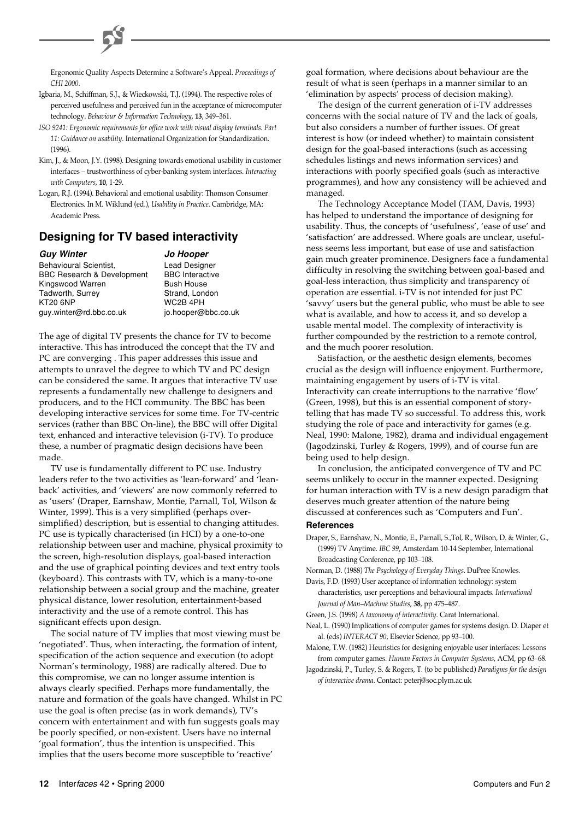Ergonomic Quality Aspects Determine a Software's Appeal. *Proceedings of CHI 2000*.

- Igbaria, M., Schiffman, S.J., & Wieckowski, T.J. (1994). The respective roles of perceived usefulness and perceived fun in the acceptance of microcomputer technology. *Behaviour & Information Technology*, **13**, 349–361.
- *ISO 9241: Ergonomic requirements for office work with visual display terminals. Part 11: Guidance on usability*. International Organization for Standardization.  $(1996)$
- Kim, J., & Moon, J.Y. (1998). Designing towards emotional usability in customer interfaces – trustworthiness of cyber-banking system interfaces. *Interacting with Computers*, **10**, 1-29.
- Logan, R.J. (1994). Behavioral and emotional usability: Thomson Consumer Electronics. In M. Wiklund (ed.), *Usability in Practice*. Cambridge, MA: Academic Press.

#### **Designing for TV based interactivity**

| <b>Guy Winter</b>                     | <b>Jo Hooper</b>       |
|---------------------------------------|------------------------|
| Behavioural Scientist.                | <b>Lead Designer</b>   |
| <b>BBC Research &amp; Development</b> | <b>BBC</b> Interactive |
| Kingswood Warren                      | <b>Bush House</b>      |
| Tadworth, Surrey                      | Strand, London         |
| <b>KT20 6NP</b>                       | WC2B 4PH               |
| guy.winter@rd.bbc.co.uk               | jo.hooper@bbc.co.uk    |

The age of digital TV presents the chance for TV to become interactive. This has introduced the concept that the TV and PC are converging . This paper addresses this issue and attempts to unravel the degree to which TV and PC design can be considered the same. It argues that interactive TV use represents a fundamentally new challenge to designers and producers, and to the HCI community. The BBC has been developing interactive services for some time. For TV-centric services (rather than BBC On-line), the BBC will offer Digital text, enhanced and interactive television (i-TV). To produce these, a number of pragmatic design decisions have been made.

TV use is fundamentally different to PC use. Industry leaders refer to the two activities as 'lean-forward' and 'leanback' activities, and 'viewers' are now commonly referred to as 'users' (Draper, Earnshaw, Montie, Parnall, Tol, Wilson & Winter, 1999). This is a very simplified (perhaps oversimplified) description, but is essential to changing attitudes. PC use is typically characterised (in HCI) by a one-to-one relationship between user and machine, physical proximity to the screen, high-resolution displays, goal-based interaction and the use of graphical pointing devices and text entry tools (keyboard). This contrasts with TV, which is a many-to-one relationship between a social group and the machine, greater physical distance, lower resolution, entertainment-based interactivity and the use of a remote control. This has significant effects upon design.

The social nature of TV implies that most viewing must be 'negotiated'. Thus, when interacting, the formation of intent, specification of the action sequence and execution (to adopt Norman's terminology, 1988) are radically altered. Due to this compromise, we can no longer assume intention is always clearly specified. Perhaps more fundamentally, the nature and formation of the goals have changed. Whilst in PC use the goal is often precise (as in work demands), TV's concern with entertainment and with fun suggests goals may be poorly specified, or non-existent. Users have no internal 'goal formation', thus the intention is unspecified. This implies that the users become more susceptible to 'reactive'

goal formation, where decisions about behaviour are the result of what is seen (perhaps in a manner similar to an 'elimination by aspects' process of decision making).

The design of the current generation of i-TV addresses concerns with the social nature of TV and the lack of goals, but also considers a number of further issues. Of great interest is how (or indeed whether) to maintain consistent design for the goal-based interactions (such as accessing schedules listings and news information services) and interactions with poorly specified goals (such as interactive programmes), and how any consistency will be achieved and managed.

The Technology Acceptance Model (TAM, Davis, 1993) has helped to understand the importance of designing for usability. Thus, the concepts of 'usefulness', 'ease of use' and 'satisfaction' are addressed. Where goals are unclear, usefulness seems less important, but ease of use and satisfaction gain much greater prominence. Designers face a fundamental difficulty in resolving the switching between goal-based and goal-less interaction, thus simplicity and transparency of operation are essential. i-TV is not intended for just PC 'savvy' users but the general public, who must be able to see what is available, and how to access it, and so develop a usable mental model. The complexity of interactivity is further compounded by the restriction to a remote control, and the much poorer resolution.

Satisfaction, or the aesthetic design elements, becomes crucial as the design will influence enjoyment. Furthermore, maintaining engagement by users of i-TV is vital. Interactivity can create interruptions to the narrative 'flow' (Green, 1998), but this is an essential component of storytelling that has made TV so successful. To address this, work studying the role of pace and interactivity for games (e.g. Neal, 1990: Malone, 1982), drama and individual engagement (Jagodzinski, Turley & Rogers, 1999), and of course fun are being used to help design.

In conclusion, the anticipated convergence of TV and PC seems unlikely to occur in the manner expected. Designing for human interaction with TV is a new design paradigm that deserves much greater attention of the nature being discussed at conferences such as 'Computers and Fun'.

#### **References**

Draper, S., Earnshaw, N., Montie, E., Parnall, S.,Tol, R., Wilson, D. & Winter, G., (1999) TV Anytime. *IBC 99*, Amsterdam 10-14 September, International Broadcasting Conference, pp 103–108.

Norman, D. (1988) *The Psychology of Everyday Things*. DuPree Knowles.

- Davis, F.D. (1993) User acceptance of information technology: system characteristics, user perceptions and behavioural impacts. *International Journal of Man–Machine Studies*, **38**, pp 475–487.
- Green, J.S. (1998) *A taxonomy of interactivity*. Carat International.
- Neal, L. (1990) Implications of computer games for systems design. D. Diaper et al. (eds) *INTERACT 90*, Elsevier Science, pp 93–100.

Malone, T.W. (1982) Heuristics for designing enjoyable user interfaces: Lessons from computer games. *Human Factors in Computer Systems*, ACM, pp 63–68.

Jagodzinski, P., Turley, S. & Rogers, T. (to be published) *Paradigms for the design of interactive drama*. Contact: peterj@soc.plym.ac.uk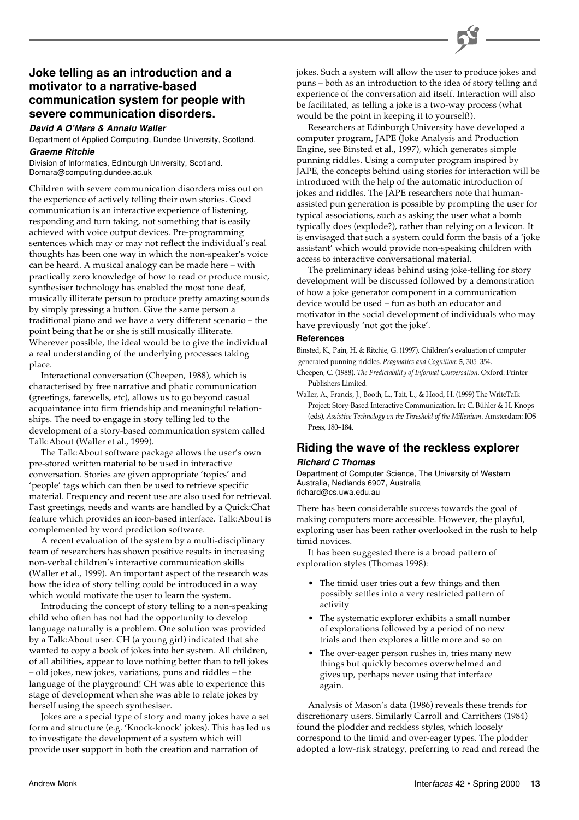#### **Joke telling as an introduction and a motivator to a narrative-based communication system for people with severe communication disorders.**

#### **David A O'Mara & Annalu Waller**

Department of Applied Computing, Dundee University, Scotland.

#### **Graeme Ritchie**

Division of Informatics, Edinburgh University, Scotland. Domara@computing.dundee.ac.uk

Children with severe communication disorders miss out on the experience of actively telling their own stories. Good communication is an interactive experience of listening, responding and turn taking, not something that is easily achieved with voice output devices. Pre-programming sentences which may or may not reflect the individual's real thoughts has been one way in which the non-speaker's voice can be heard. A musical analogy can be made here – with practically zero knowledge of how to read or produce music, synthesiser technology has enabled the most tone deaf, musically illiterate person to produce pretty amazing sounds by simply pressing a button. Give the same person a traditional piano and we have a very different scenario – the point being that he or she is still musically illiterate. Wherever possible, the ideal would be to give the individual a real understanding of the underlying processes taking place.

Interactional conversation (Cheepen, 1988), which is characterised by free narrative and phatic communication (greetings, farewells, etc), allows us to go beyond casual acquaintance into firm friendship and meaningful relationships. The need to engage in story telling led to the development of a story-based communication system called Talk:About (Waller et al., 1999).

The Talk:About software package allows the user's own pre-stored written material to be used in interactive conversation. Stories are given appropriate 'topics' and 'people' tags which can then be used to retrieve specific material. Frequency and recent use are also used for retrieval. Fast greetings, needs and wants are handled by a Quick:Chat feature which provides an icon-based interface. Talk:About is complemented by word prediction software.

A recent evaluation of the system by a multi-disciplinary team of researchers has shown positive results in increasing non-verbal children's interactive communication skills (Waller et al., 1999). An important aspect of the research was how the idea of story telling could be introduced in a way which would motivate the user to learn the system.

Introducing the concept of story telling to a non-speaking child who often has not had the opportunity to develop language naturally is a problem. One solution was provided by a Talk:About user. CH (a young girl) indicated that she wanted to copy a book of jokes into her system. All children, of all abilities, appear to love nothing better than to tell jokes – old jokes, new jokes, variations, puns and riddles – the language of the playground! CH was able to experience this stage of development when she was able to relate jokes by herself using the speech synthesiser.

Jokes are a special type of story and many jokes have a set form and structure (e.g. 'Knock-knock' jokes). This has led us to investigate the development of a system which will provide user support in both the creation and narration of

jokes. Such a system will allow the user to produce jokes and puns – both as an introduction to the idea of story telling and experience of the conversation aid itself. Interaction will also be facilitated, as telling a joke is a two-way process (what would be the point in keeping it to yourself!).

Researchers at Edinburgh University have developed a computer program, JAPE (Joke Analysis and Production Engine, see Binsted et al., 1997), which generates simple punning riddles. Using a computer program inspired by JAPE, the concepts behind using stories for interaction will be introduced with the help of the automatic introduction of jokes and riddles. The JAPE researchers note that humanassisted pun generation is possible by prompting the user for typical associations, such as asking the user what a bomb typically does (explode?), rather than relying on a lexicon. It is envisaged that such a system could form the basis of a 'joke assistant' which would provide non-speaking children with access to interactive conversational material.

The preliminary ideas behind using joke-telling for story development will be discussed followed by a demonstration of how a joke generator component in a communication device would be used – fun as both an educator and motivator in the social development of individuals who may have previously 'not got the joke'.

#### **References**

Binsted, K., Pain, H. & Ritchie, G. (1997). Children's evaluation of computer generated punning riddles. *Pragmatics and Cognition*: **5**, 305–354.

Cheepen, C. (1988). *The Predictability of Informal Conversation*. Oxford: Printer Publishers Limited.

Waller, A., Francis, J., Booth, L., Tait, L., & Hood, H. (1999) The WriteTalk Project: Story-Based Interactive Communication. In: C. Bühler & H. Knops (eds), *Assistive Technology on the Threshold of the Millenium*. Amsterdam: IOS Press, 180–184.

#### **Riding the wave of the reckless explorer**

#### **Richard C Thomas**

Department of Computer Science, The University of Western Australia, Nedlands 6907, Australia richard@cs.uwa.edu.au

There has been considerable success towards the goal of making computers more accessible. However, the playful, exploring user has been rather overlooked in the rush to help timid novices.

It has been suggested there is a broad pattern of exploration styles (Thomas 1998):

- The timid user tries out a few things and then possibly settles into a very restricted pattern of activity
- The systematic explorer exhibits a small number of explorations followed by a period of no new trials and then explores a little more and so on
- The over-eager person rushes in, tries many new things but quickly becomes overwhelmed and gives up, perhaps never using that interface again.

Analysis of Mason's data (1986) reveals these trends for discretionary users. Similarly Carroll and Carrithers (1984) found the plodder and reckless styles, which loosely correspond to the timid and over-eager types. The plodder adopted a low-risk strategy, preferring to read and reread the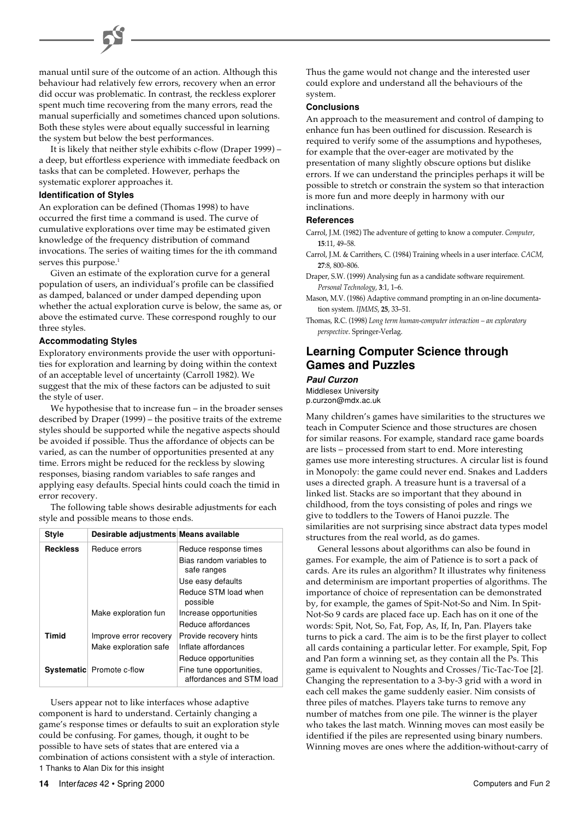#### manual until sure of the outcome of an action. Although this behaviour had relatively few errors, recovery when an error did occur was problematic. In contrast, the reckless explorer spent much time recovering from the many errors, read the manual superficially and sometimes chanced upon solutions. Both these styles were about equally successful in learning the system but below the best performances.

It is likely that neither style exhibits c-flow (Draper 1999) – a deep, but effortless experience with immediate feedback on tasks that can be completed. However, perhaps the systematic explorer approaches it.

#### **Identification of Styles**

An exploration can be defined (Thomas 1998) to have occurred the first time a command is used. The curve of cumulative explorations over time may be estimated given knowledge of the frequency distribution of command invocations. The series of waiting times for the ith command serves this purpose.<sup>1</sup>

Given an estimate of the exploration curve for a general population of users, an individual's profile can be classified as damped, balanced or under damped depending upon whether the actual exploration curve is below, the same as, or above the estimated curve. These correspond roughly to our three styles.

#### **Accommodating Styles**

Exploratory environments provide the user with opportunities for exploration and learning by doing within the context of an acceptable level of uncertainty (Carroll 1982). We suggest that the mix of these factors can be adjusted to suit the style of user.

We hypothesise that to increase fun – in the broader senses described by Draper (1999) – the positive traits of the extreme styles should be supported while the negative aspects should be avoided if possible. Thus the affordance of objects can be varied, as can the number of opportunities presented at any time. Errors might be reduced for the reckless by slowing responses, biasing random variables to safe ranges and applying easy defaults. Special hints could coach the timid in error recovery.

The following table shows desirable adjustments for each style and possible means to those ends.

| <b>Style</b>    | Desirable adjustments Means available |                                                      |
|-----------------|---------------------------------------|------------------------------------------------------|
| <b>Reckless</b> | Reduce errors                         | Reduce response times                                |
|                 |                                       | Bias random variables to<br>safe ranges              |
|                 |                                       | Use easy defaults                                    |
|                 |                                       | Reduce STM load when<br>possible                     |
|                 | Make exploration fun                  | Increase opportunities                               |
|                 |                                       | Reduce affordances                                   |
| Timid           | Improve error recovery                | Provide recovery hints                               |
|                 | Make exploration safe                 | Inflate affordances                                  |
|                 |                                       | Reduce opportunities                                 |
|                 | <b>Systematic</b> Promote c-flow      | Fine tune opportunities,<br>affordances and STM load |

1 Thanks to Alan Dix for this insight Users appear not to like interfaces whose adaptive component is hard to understand. Certainly changing a game's response times or defaults to suit an exploration style could be confusing. For games, though, it ought to be possible to have sets of states that are entered via a combination of actions consistent with a style of interaction.

Thus the game would not change and the interested user could explore and understand all the behaviours of the system.

#### **Conclusions**

An approach to the measurement and control of damping to enhance fun has been outlined for discussion. Research is required to verify some of the assumptions and hypotheses, for example that the over-eager are motivated by the presentation of many slightly obscure options but dislike errors. If we can understand the principles perhaps it will be possible to stretch or constrain the system so that interaction is more fun and more deeply in harmony with our inclinations.

#### **References**

- Carrol, J.M. (1982) The adventure of getting to know a computer. *Computer*, **15**:11, 49–58.
- Carrol, J.M. & Carrithers, C. (1984) Training wheels in a user interface. *CACM*, **27**:8, 800–806.
- Draper, S.W. (1999) Analysing fun as a candidate software requirement. *Personal Technology*, **3**:1, 1–6.
- Mason, M.V. (1986) Adaptive command prompting in an on-line documentation system. *IJMMS*, **25**, 33–51.
- Thomas, R.C. (1998) *Long term human-computer interaction an exploratory perspective*. Springer-Verlag.

#### **Learning Computer Science through Games and Puzzles**

#### **Paul Curzon**

Middlesex University p.curzon@mdx.ac.uk

Many children's games have similarities to the structures we teach in Computer Science and those structures are chosen for similar reasons. For example, standard race game boards are lists – processed from start to end. More interesting games use more interesting structures. A circular list is found in Monopoly: the game could never end. Snakes and Ladders uses a directed graph. A treasure hunt is a traversal of a linked list. Stacks are so important that they abound in childhood, from the toys consisting of poles and rings we give to toddlers to the Towers of Hanoi puzzle. The similarities are not surprising since abstract data types model structures from the real world, as do games.

General lessons about algorithms can also be found in games. For example, the aim of Patience is to sort a pack of cards. Are its rules an algorithm? It illustrates why finiteness and determinism are important properties of algorithms. The importance of choice of representation can be demonstrated by, for example, the games of Spit-Not-So and Nim. In Spit-Not-So 9 cards are placed face up. Each has on it one of the words: Spit, Not, So, Fat, Fop, As, If, In, Pan. Players take turns to pick a card. The aim is to be the first player to collect all cards containing a particular letter. For example, Spit, Fop and Pan form a winning set, as they contain all the Ps. This game is equivalent to Noughts and Crosses/Tic-Tac-Toe [2]. Changing the representation to a 3-by-3 grid with a word in each cell makes the game suddenly easier. Nim consists of three piles of matches. Players take turns to remove any number of matches from one pile. The winner is the player who takes the last match. Winning moves can most easily be identified if the piles are represented using binary numbers. Winning moves are ones where the addition-without-carry of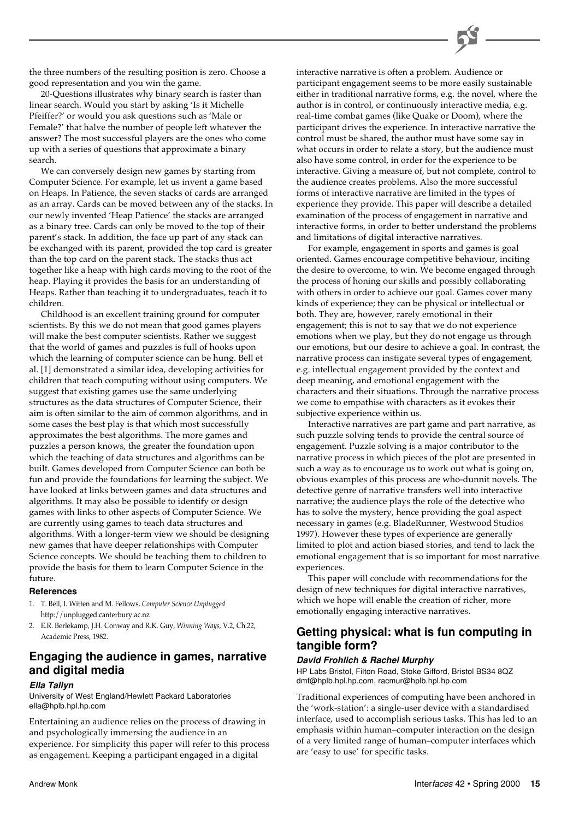the three numbers of the resulting position is zero. Choose a good representation and you win the game.

20-Questions illustrates why binary search is faster than linear search. Would you start by asking 'Is it Michelle Pfeiffer?' or would you ask questions such as 'Male or Female?' that halve the number of people left whatever the answer? The most successful players are the ones who come up with a series of questions that approximate a binary search.

We can conversely design new games by starting from Computer Science. For example, let us invent a game based on Heaps. In Patience, the seven stacks of cards are arranged as an array. Cards can be moved between any of the stacks. In our newly invented 'Heap Patience' the stacks are arranged as a binary tree. Cards can only be moved to the top of their parent's stack. In addition, the face up part of any stack can be exchanged with its parent, provided the top card is greater than the top card on the parent stack. The stacks thus act together like a heap with high cards moving to the root of the heap. Playing it provides the basis for an understanding of Heaps. Rather than teaching it to undergraduates, teach it to children.

Childhood is an excellent training ground for computer scientists. By this we do not mean that good games players will make the best computer scientists. Rather we suggest that the world of games and puzzles is full of hooks upon which the learning of computer science can be hung. Bell et al. [1] demonstrated a similar idea, developing activities for children that teach computing without using computers. We suggest that existing games use the same underlying structures as the data structures of Computer Science, their aim is often similar to the aim of common algorithms, and in some cases the best play is that which most successfully approximates the best algorithms. The more games and puzzles a person knows, the greater the foundation upon which the teaching of data structures and algorithms can be built. Games developed from Computer Science can both be fun and provide the foundations for learning the subject. We have looked at links between games and data structures and algorithms. It may also be possible to identify or design games with links to other aspects of Computer Science. We are currently using games to teach data structures and algorithms. With a longer-term view we should be designing new games that have deeper relationships with Computer Science concepts. We should be teaching them to children to provide the basis for them to learn Computer Science in the future.

#### **References**

- 1. T. Bell, I. Witten and M. Fellows, *Computer Science Unplugged* http://unplugged.canterbury.ac.nz
- 2. E.R. Berlekamp, J.H. Conway and R.K. Guy, *Winning Ways*, V.2, Ch.22, Academic Press, 1982.

#### **Engaging the audience in games, narrative and digital media**

#### **Ella Tallyn**

University of West England/Hewlett Packard Laboratories ella@hplb.hpl.hp.com

Entertaining an audience relies on the process of drawing in and psychologically immersing the audience in an experience. For simplicity this paper will refer to this process as engagement. Keeping a participant engaged in a digital

interactive narrative is often a problem. Audience or participant engagement seems to be more easily sustainable either in traditional narrative forms, e.g. the novel, where the author is in control, or continuously interactive media, e.g. real-time combat games (like Quake or Doom), where the participant drives the experience. In interactive narrative the control must be shared, the author must have some say in what occurs in order to relate a story, but the audience must also have some control, in order for the experience to be interactive. Giving a measure of, but not complete, control to the audience creates problems. Also the more successful forms of interactive narrative are limited in the types of experience they provide. This paper will describe a detailed examination of the process of engagement in narrative and interactive forms, in order to better understand the problems and limitations of digital interactive narratives.

For example, engagement in sports and games is goal oriented. Games encourage competitive behaviour, inciting the desire to overcome, to win. We become engaged through the process of honing our skills and possibly collaborating with others in order to achieve our goal. Games cover many kinds of experience; they can be physical or intellectual or both. They are, however, rarely emotional in their engagement; this is not to say that we do not experience emotions when we play, but they do not engage us through our emotions, but our desire to achieve a goal. In contrast, the narrative process can instigate several types of engagement, e.g. intellectual engagement provided by the context and deep meaning, and emotional engagement with the characters and their situations. Through the narrative process we come to empathise with characters as it evokes their subjective experience within us.

Interactive narratives are part game and part narrative, as such puzzle solving tends to provide the central source of engagement. Puzzle solving is a major contributor to the narrative process in which pieces of the plot are presented in such a way as to encourage us to work out what is going on, obvious examples of this process are who-dunnit novels. The detective genre of narrative transfers well into interactive narrative; the audience plays the role of the detective who has to solve the mystery, hence providing the goal aspect necessary in games (e.g. BladeRunner, Westwood Studios 1997). However these types of experience are generally limited to plot and action biased stories, and tend to lack the emotional engagement that is so important for most narrative experiences.

This paper will conclude with recommendations for the design of new techniques for digital interactive narratives, which we hope will enable the creation of richer, more emotionally engaging interactive narratives.

#### **Getting physical: what is fun computing in tangible form?**

#### **David Frohlich & Rachel Murphy**

HP Labs Bristol, Filton Road, Stoke Gifford, Bristol BS34 8QZ dmf@hplb.hpl.hp.com, racmur@hplb.hpl.hp.com

Traditional experiences of computing have been anchored in the 'work-station': a single-user device with a standardised interface, used to accomplish serious tasks. This has led to an emphasis within human–computer interaction on the design of a very limited range of human–computer interfaces which are 'easy to use' for specific tasks.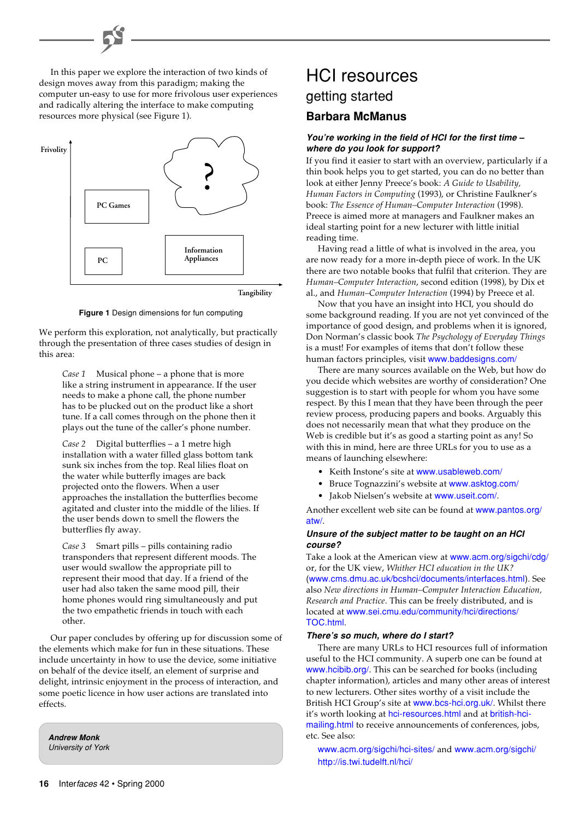In this paper we explore the interaction of two kinds of design moves away from this paradigm; making the computer un-easy to use for more frivolous user experiences and radically altering the interface to make computing resources more physical (see Figure 1).



**Tangibility**

**Figure 1** Design dimensions for fun computing

We perform this exploration, not analytically, but practically through the presentation of three cases studies of design in this area:

*Case 1* Musical phone – a phone that is more like a string instrument in appearance. If the user needs to make a phone call, the phone number has to be plucked out on the product like a short tune. If a call comes through on the phone then it plays out the tune of the caller's phone number.

*Case 2* Digital butterflies – a 1 metre high installation with a water filled glass bottom tank sunk six inches from the top. Real lilies float on the water while butterfly images are back projected onto the flowers. When a user approaches the installation the butterflies become agitated and cluster into the middle of the lilies. If the user bends down to smell the flowers the butterflies fly away.

*Case 3* Smart pills – pills containing radio transponders that represent different moods. The user would swallow the appropriate pill to represent their mood that day. If a friend of the user had also taken the same mood pill, their home phones would ring simultaneously and put the two empathetic friends in touch with each other.

Our paper concludes by offering up for discussion some of the elements which make for fun in these situations. These include uncertainty in how to use the device, some initiative on behalf of the device itself, an element of surprise and delight, intrinsic enjoyment in the process of interaction, and some poetic licence in how user actions are translated into effects.

**Andrew Monk** University of York

## HCI resources **Barbara McManus** getting started

#### **You're working in the field of HCI for the first time – where do you look for support?**

If you find it easier to start with an overview, particularly if a thin book helps you to get started, you can do no better than look at either Jenny Preece's book: *A Guide to Usability, Human Factors in Computing* (1993), or Christine Faulkner's book: *The Essence of Human–Computer Interaction* (1998). Preece is aimed more at managers and Faulkner makes an ideal starting point for a new lecturer with little initial reading time.

Having read a little of what is involved in the area, you are now ready for a more in-depth piece of work. In the UK there are two notable books that fulfil that criterion. They are *Human–Computer Interaction*, second edition (1998), by Dix et al., and *Human–Computer Interaction* (1994) by Preece et al.

Now that you have an insight into HCI, you should do some background reading. If you are not yet convinced of the importance of good design, and problems when it is ignored, Don Norman's classic book *The Psychology of Everyday Things* is a must! For examples of items that don't follow these human factors principles, visit [www.baddesigns.com/](http://www.baddesigns.com/)

There are many sources available on the Web, but how do you decide which websites are worthy of consideration? One suggestion is to start with people for whom you have some respect. By this I mean that they have been through the peer review process, producing papers and books. Arguably this does not necessarily mean that what they produce on the Web is credible but it's as good a starting point as any! So with this in mind, here are three URLs for you to use as a means of launching elsewhere:

- Keith Instone's site at [www.usableweb.com/](http://www.usableweb.com/)
- Bruce Tognazzini's website at [www.asktog.com/](http://www.asktog.com/)
- Jakob Nielsen's website at [www.useit.com/](http://www.useit.com/).

[Another excellent web site can be found at](http://www.pantos.org/atw/) www.pantos.org/ atw/.

#### **Unsure of the subject matter to be taught on an HCI course?**

Take a look at the American view at [www.acm.org/sigchi/cdg/](http://www.acm.org/sigchi/cdg/) or, for the UK view, *Whither HCI education in the UK?* ([www.cms.dmu.ac.uk/bcshci/documents/interfaces.html\)](http://www.cms.dmu.ac.uk/bcshci/documents/interfaces.html). See also *New directions in Human–Computer Interaction Education, Research and Practice*. This can be freely distributed, and is located at [www.sei.cmu.edu/community/hci/directions/](http://www.sei.cmu.edu/community/hci/directions/TOC.html) TOC.html.

#### **There's so much, where do I start?**

There are many URLs to HCI resources full of information useful to the HCI community. A superb one can be found at [www.hcibib.org/](http://www.hcibib.org/). This can be searched for books (including chapter information), articles and many other areas of interest to new lecturers. Other sites worthy of a visit include the British HCI Group's site at [www.bcs-hci.org.uk/](http://www.bcs-hci.org.uk/). Whilst there it's worth looking at [hci-resources.html](http://www.bcs-hci.org.uk/hci-resources.html) and at [british-hci](http://www.bcs-hci.org.uk/british-hci-mailing.html)[mailing.html](http://www.bcs-hci.org.uk/british-hci-mailing.html) to receive announcements of conferences, jobs, etc. See also:

[www.acm.org/sigchi/hci-sites/](http://www.hcibib.org/hci-sites/) and [www.acm.org/sigchi/](http://www.acm.org/sigchi/) <http://is.twi.tudelft.nl/hci/>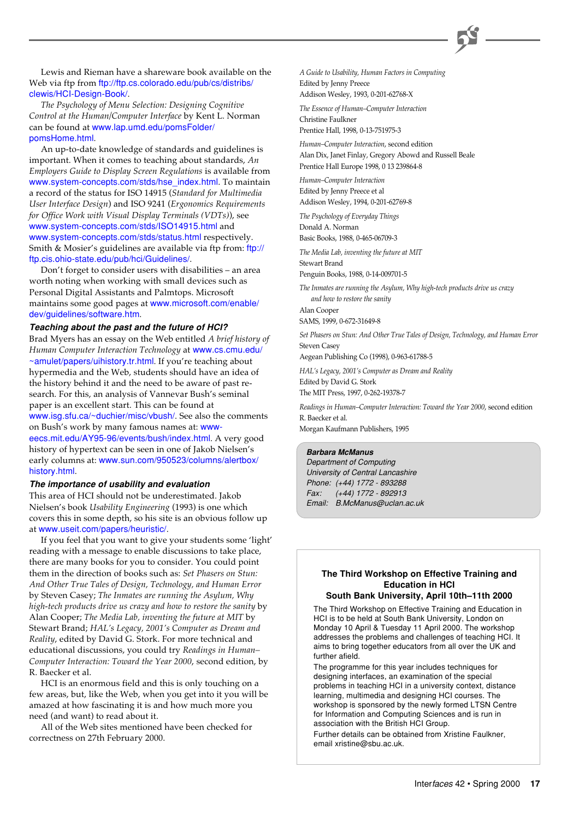Lewis and Rieman have a shareware book available on the Web via ftp from [ftp://ftp.cs.colorado.edu/pub/cs/distribs/](ftp://ftp.cs.colorado.edu/pub/cs/distribs/clewis/HCI-Design-Book/) clewis/HCI-Design-Book/.

*The Psychology of Menu Selection: Designing Cognitive Control at the Human/Computer Interface* by Kent L. Norman can be found at [www.lap.umd.edu/pomsFolder/](http://www.lap.umd.edu/pomsFolder/pomsHome.html) pomsHome.html.

An up-to-date knowledge of standards and guidelines is important. When it comes to teaching about standards, *An Employers Guide to Display Screen Regulations* is available from [www.system-concepts.com/stds/hse\\_index.html](http://www.system-concepts.com/stds/hse_index.html). To maintain a record of the status for ISO 14915 (*Standard for Multimedia User Interface Design*) and ISO 9241 (*Ergonomics Requirements for Office Work with Visual Display Terminals (VDTs)*), see [www.system-concepts.com/stds/ISO14915.html](http://www.system-concepts.com/stds/ISO14915.html) and [www.system-concepts.com/stds/status.html](http://www.system-concepts.com/stds/status.html) respectively. Smith & Mosier's guidelines are available via ftp from: [ftp://](ftp://ftp.cis.ohio-state.edu/pub/hci/Guidelines/) [ftp.cis.ohio-state.edu/pub/hci/Guidelines/](ftp://ftp.cis.ohio-state.edu/pub/hci/Guidelines/).

Don't forget to consider users with disabilities – an area worth noting when working with small devices such as Personal Digital Assistants and Palmtops. Microsoft maintains some good pages at www.microsoft.com/enable/ [dev/guidelines/software.htm](http://www.microsoft.com/enable/dev/guidelines/software.htm).

#### **Teaching about the past and the future of HCI?**

Brad Myers has an essay on the Web entitled *A brief history of [Human Computer Interaction Technology](http://www.cs.cmu.edu/~amulet/papers/uihistory.tr.html)* at www.cs.cmu.edu/ ~amulet/papers/uihistory.tr.html. If you're teaching about hypermedia and the Web, students should have an idea of the history behind it and the need to be aware of past research. For this, an analysis of Vannevar Bush's seminal paper is an excellent start. This can be found at [www.isg.sfu.ca/~duchier/misc/vbush/](http://www.isg.sfu.ca/~duchier/misc/vbush/). See also the comments on Bush's work by many famous names at: [www](http://www-eecs.mit.edu/AY95-96/events/bush/index.html)[eecs.mit.edu/AY95-96/events/bush/index.html](http://www-eecs.mit.edu/AY95-96/events/bush/index.html). A very good history of hypertext can be seen in one of Jakob Nielsen's early columns at: [www.sun.com/950523/columns/alertbox/](http://www.sun.com/950523/columns/alertbox/history.html) history.html.

#### **The importance of usability and evaluation**

This area of HCI should not be underestimated. Jakob Nielsen's book *Usability Engineering* (1993) is one which covers this in some depth, so his site is an obvious follow up at [www.useit.com/papers/heuristic/](http://www.useit.com/papers/heuristic/).

If you feel that you want to give your students some 'light' reading with a message to enable discussions to take place, there are many books for you to consider. You could point them in the direction of books such as: *Set Phasers on Stun: And Other True Tales of Design, Technology, and Human Error* by Steven Casey; *The Inmates are running the Asylum, Why high-tech products drive us crazy and how to restore the sanity* by Alan Cooper; *The Media Lab, inventing the future at MIT* by Stewart Brand; *HAL's Legacy, 2001's Computer as Dream and Reality*, edited by David G. Stork. For more technical and educational discussions, you could try *Readings in Human– Computer Interaction: Toward the Year 2000*, second edition, by R. Baecker et al.

HCI is an enormous field and this is only touching on a few areas, but, like the Web, when you get into it you will be amazed at how fascinating it is and how much more you need (and want) to read about it.

All of the Web sites mentioned have been checked for correctness on 27th February 2000.

*A Guide to Usability, Human Factors in Computing* Edited by Jenny Preece

Addison Wesley, 1993, 0-201-62768-X

*The Essence of Human–Computer Interaction* Christine Faulkner

Prentice Hall, 1998, 0-13-751975-3

*Human–Computer Interaction*, second edition Alan Dix, Janet Finlay, Gregory Abowd and Russell Beale Prentice Hall Europe 1998, 0 13 239864-8

*Human–Computer Interaction* Edited by Jenny Preece et al Addison Wesley, 1994, 0-201-62769-8

*The Psychology of Everyday Things* Donald A. Norman

Basic Books, 1988, 0-465-06709-3

*The Media Lab, inventing the future at MIT* Stewart Brand

Penguin Books, 1988, 0-14-009701-5

*The Inmates are running the Asylum, Why high-tech products drive us crazy and how to restore the sanity* Alan Cooper

SAMS, 1999, 0-672-31649-8

*Set Phasers on Stun: And Other True Tales of Design, Technology, and Human Error* Steven Casey

Aegean Publishing Co (1998), 0-963-61788-5

*HAL's Legacy, 2001's Computer as Dream and Reality* Edited by David G. Stork The MIT Press, 1997, 0-262-19378-7

*Readings in Human–Computer Interaction: Toward the Year 2000*, second edition R. Baecker et al.

Morgan Kaufmann Publishers, 1995

#### **Barbara McManus**

Department of Computing University of Central Lancashire Phone: (+44) 1772 - 893288 Fax: (+44) 1772 - 892913 Email: B.McManus@uclan.ac.uk

#### **The Third Workshop on Effective Training and Education in HCI**

#### **South Bank University, April 10th–11th 2000**

The Third Workshop on Effective Training and Education in HCI is to be held at South Bank University, London on Monday 10 April & Tuesday 11 April 2000. The workshop addresses the problems and challenges of teaching HCI. It aims to bring together educators from all over the UK and further afield.

The programme for this year includes techniques for designing interfaces, an examination of the special problems in teaching HCI in a university context, distance learning, multimedia and designing HCI courses. The workshop is sponsored by the newly formed LTSN Centre for Information and Computing Sciences and is run in association with the British HCI Group.

Further details can be obtained from Xristine Faulkner, email xristine@sbu.ac.uk.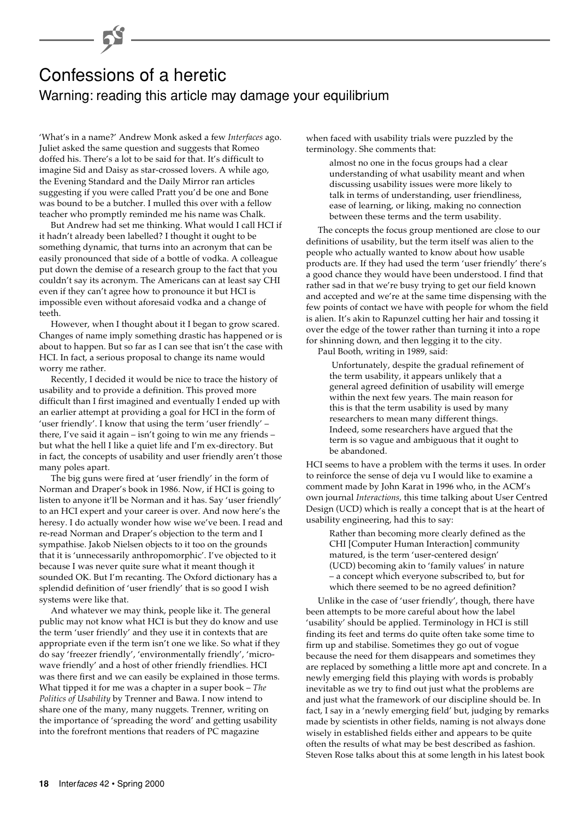## Confessions of a heretic Warning: reading this article may damage your equilibrium

'What's in a name?' Andrew Monk asked a few *Interfaces* ago. Juliet asked the same question and suggests that Romeo doffed his. There's a lot to be said for that. It's difficult to imagine Sid and Daisy as star-crossed lovers. A while ago, the Evening Standard and the Daily Mirror ran articles suggesting if you were called Pratt you'd be one and Bone was bound to be a butcher. I mulled this over with a fellow teacher who promptly reminded me his name was Chalk.

But Andrew had set me thinking. What would I call HCI if it hadn't already been labelled? I thought it ought to be something dynamic, that turns into an acronym that can be easily pronounced that side of a bottle of vodka. A colleague put down the demise of a research group to the fact that you couldn't say its acronym. The Americans can at least say CHI even if they can't agree how to pronounce it but HCI is impossible even without aforesaid vodka and a change of teeth.

However, when I thought about it I began to grow scared. Changes of name imply something drastic has happened or is about to happen. But so far as I can see that isn't the case with HCI. In fact, a serious proposal to change its name would worry me rather.

Recently, I decided it would be nice to trace the history of usability and to provide a definition. This proved more difficult than I first imagined and eventually I ended up with an earlier attempt at providing a goal for HCI in the form of 'user friendly'. I know that using the term 'user friendly' – there, I've said it again – isn't going to win me any friends – but what the hell I like a quiet life and I'm ex-directory. But in fact, the concepts of usability and user friendly aren't those many poles apart.

The big guns were fired at 'user friendly' in the form of Norman and Draper's book in 1986. Now, if HCI is going to listen to anyone it'll be Norman and it has. Say 'user friendly' to an HCI expert and your career is over. And now here's the heresy. I do actually wonder how wise we've been. I read and re-read Norman and Draper's objection to the term and I sympathise. Jakob Nielsen objects to it too on the grounds that it is 'unnecessarily anthropomorphic'. I've objected to it because I was never quite sure what it meant though it sounded OK. But I'm recanting. The Oxford dictionary has a splendid definition of 'user friendly' that is so good I wish systems were like that.

And whatever we may think, people like it. The general public may not know what HCI is but they do know and use the term 'user friendly' and they use it in contexts that are appropriate even if the term isn't one we like. So what if they do say 'freezer friendly', 'environmentally friendly', 'microwave friendly' and a host of other friendly friendlies. HCI was there first and we can easily be explained in those terms. What tipped it for me was a chapter in a super book – *The Politics of Usability* by Trenner and Bawa. I now intend to share one of the many, many nuggets. Trenner, writing on the importance of 'spreading the word' and getting usability into the forefront mentions that readers of PC magazine

when faced with usability trials were puzzled by the terminology. She comments that:

> almost no one in the focus groups had a clear understanding of what usability meant and when discussing usability issues were more likely to talk in terms of understanding, user friendliness, ease of learning, or liking, making no connection between these terms and the term usability.

The concepts the focus group mentioned are close to our definitions of usability, but the term itself was alien to the people who actually wanted to know about how usable products are. If they had used the term 'user friendly' there's a good chance they would have been understood. I find that rather sad in that we're busy trying to get our field known and accepted and we're at the same time dispensing with the few points of contact we have with people for whom the field is alien. It's akin to Rapunzel cutting her hair and tossing it over the edge of the tower rather than turning it into a rope for shinning down, and then legging it to the city.

Paul Booth, writing in 1989, said:

 Unfortunately, despite the gradual refinement of the term usability, it appears unlikely that a general agreed definition of usability will emerge within the next few years. The main reason for this is that the term usability is used by many researchers to mean many different things. Indeed, some researchers have argued that the term is so vague and ambiguous that it ought to be abandoned.

HCI seems to have a problem with the terms it uses. In order to reinforce the sense of deja vu I would like to examine a comment made by John Karat in 1996 who, in the ACM's own journal *Interactions*, this time talking about User Centred Design (UCD) which is really a concept that is at the heart of usability engineering, had this to say:

Rather than becoming more clearly defined as the CHI [Computer Human Interaction] community matured, is the term 'user-centered design' (UCD) becoming akin to 'family values' in nature – a concept which everyone subscribed to, but for which there seemed to be no agreed definition?

Unlike in the case of 'user friendly', though, there have been attempts to be more careful about how the label 'usability' should be applied. Terminology in HCI is still finding its feet and terms do quite often take some time to firm up and stabilise. Sometimes they go out of vogue because the need for them disappears and sometimes they are replaced by something a little more apt and concrete. In a newly emerging field this playing with words is probably inevitable as we try to find out just what the problems are and just what the framework of our discipline should be. In fact, I say in a 'newly emerging field' but, judging by remarks made by scientists in other fields, naming is not always done wisely in established fields either and appears to be quite often the results of what may be best described as fashion. Steven Rose talks about this at some length in his latest book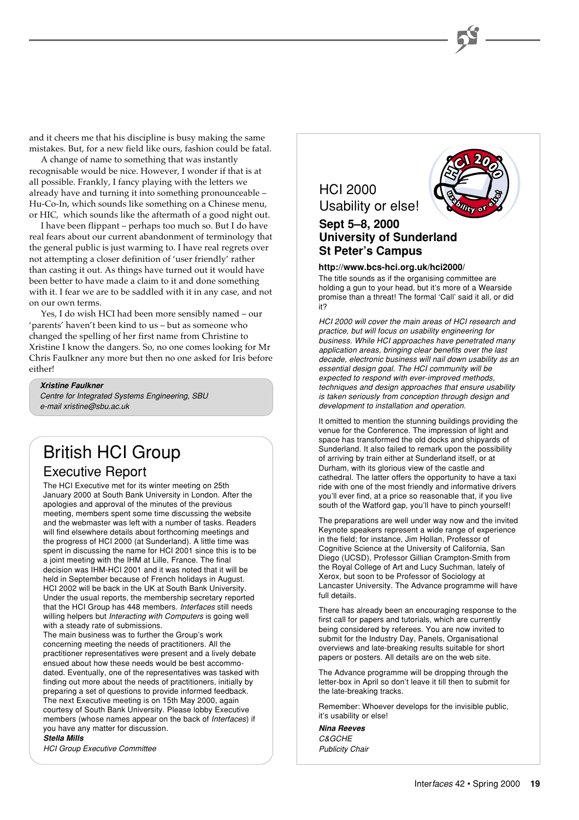and it cheers me that his discipline is busy making the same mistakes. But, for a new field like ours, fashion could be fatal.

A change of name to something that was instantly recognisable would be nice. However, I wonder if that is at all possible. Frankly, I fancy playing with the letters we already have and turning it into something pronounceable – Hu-Co-In, which sounds like something on a Chinese menu, or HIC, which sounds like the aftermath of a good night out.

I have been flippant – perhaps too much so. But I do have real fears about our current abandonment of terminology that the general public is just warming to. I have real regrets over not attempting a closer definition of 'user friendly' rather than casting it out. As things have turned out it would have been better to have made a claim to it and done something with it. I fear we are to be saddled with it in any case, and not on our own terms.

Yes, I do wish HCI had been more sensibly named – our 'parents' haven't been kind to us – but as someone who changed the spelling of her first name from Christine to Xristine I know the dangers. So, no one comes looking for Mr Chris Faulkner any more but then no one asked for Iris before either!

#### **Xristine Faulkner**

Centre for Integrated Systems Engineering, SBU e-mail xristine@sbu.ac.uk

## British HCI Group

#### Executive Report

The HCI Executive met for its winter meeting on 25th January 2000 at South Bank University in London. After the apologies and approval of the minutes of the previous meeting, members spent some time discussing the website and the webmaster was left with a number of tasks. Readers will find elsewhere details about forthcoming meetings and the progress of HCI 2000 (at Sunderland). A little time was spent in discussing the name for HCI 2001 since this is to be a joint meeting with the IHM at Lille, France. The final decision was IHM-HCI 2001 and it was noted that it will be held in September because of French holidays in August. HCI 2002 will be back in the UK at South Bank University. Under the usual reports, the membership secretary reported that the HCI Group has 448 members. Interfaces still needs willing helpers but *Interacting with Computers* is going well with a steady rate of submissions.

The main business was to further the Group's work concerning meeting the needs of practitioners. All the practitioner representatives were present and a lively debate ensued about how these needs would be best accommodated. Eventually, one of the representatives was tasked with finding out more about the needs of practitioners, initially by preparing a set of questions to provide informed feedback. The next Executive meeting is on 15th May 2000, again courtesy of South Bank University. Please lobby Executive members (whose names appear on the back of Interfaces) if you have any matter for discussion.

#### **Stella Mills**

HCI Group Executive Committee



#### **http://www.bcs-hci.org.uk/hci2000/**

The title sounds as if the organising committee are holding a gun to your head, but it's more of a Wearside promise than a threat! The formal 'Call' said it all, or did it?

HCI 2000 will cover the main areas of HCI research and practice, but will focus on usability engineering for business. While HCI approaches have penetrated many application areas, bringing clear benefits over the last decade, electronic business will nail down usability as an essential design goal. The HCI community will be expected to respond with ever-improved methods, techniques and design approaches that ensure usability is taken seriously from conception through design and development to installation and operation.

It omitted to mention the stunning buildings providing the venue for the Conference. The impression of light and space has transformed the old docks and shipyards of Sunderland. It also failed to remark upon the possibility of arriving by train either at Sunderland itself, or at Durham, with its glorious view of the castle and cathedral. The latter offers the opportunity to have a taxi ride with one of the most friendly and informative drivers you'll ever find, at a price so reasonable that, if you live south of the Watford gap, you'll have to pinch yourself!

The preparations are well under way now and the invited Keynote speakers represent a wide range of experience in the field; for instance, Jim Hollan, Professor of Cognitive Science at the University of California, San Diego (UCSD), Professor Gillian Crampton-Smith from the Royal College of Art and Lucy Suchman, lately of Xerox, but soon to be Professor of Sociology at Lancaster University. The Advance programme will have full details.

There has already been an encouraging response to the first call for papers and tutorials, which are currently being considered by referees. You are now invited to submit for the Industry Day, Panels, Organisational overviews and late-breaking results suitable for short papers or posters. All details are on the web site.

The Advance programme will be dropping through the letter-box in April so don't leave it till then to submit for the late-breaking tracks.

Remember: Whoever develops for the invisible public, it's usability or else!

**Nina Reeves** C&GCHE Publicity Chair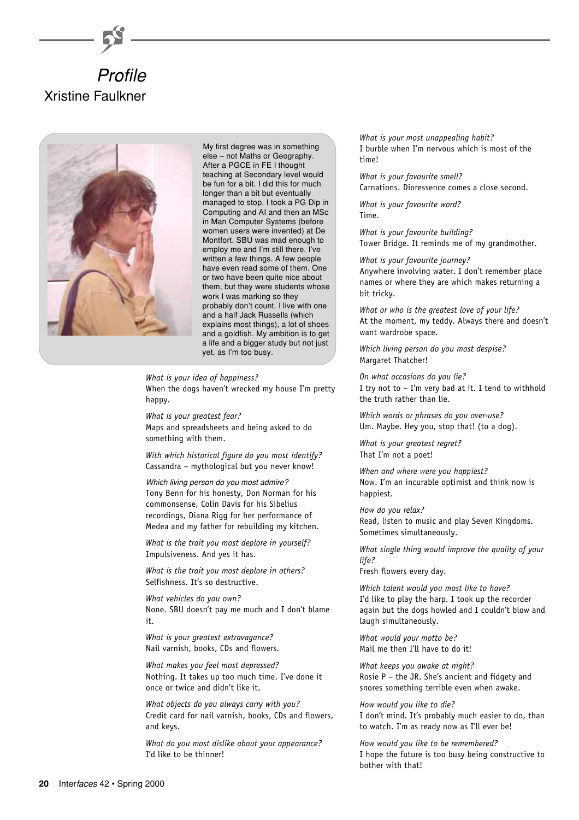



My first degree was in something else – not Maths or Geography. After a PGCE in FE I thought teaching at Secondary level would be fun for a bit. I did this for much longer than a bit but eventually managed to stop. I took a PG Dip in Computing and AI and then an MSc in Man Computer Systems (before women users were invented) at De Montfort. SBU was mad enough to employ me and I'm still there. I've written a few things. A few people have even read some of them. One or two have been quite nice about them, but they were students whose work I was marking so they probably don't count. I live with one and a half Jack Russells (which explains most things), a lot of shoes and a goldfish. My ambition is to get a life and a bigger study but not just yet, as I'm too busy.

*What is your idea of happiness?* When the dogs haven't wrecked my house I'm pretty happy.

*What is your greatest fear?* Maps and spreadsheets and being asked to do something with them.

*With which historical figure do you most identify?* Cassandra – mythological but you never know!

Which living person do you most admire? Tony Benn for his honesty, Don Norman for his commonsense, Colin Davis for his Sibelius recordings, Diana Rigg for her performance of Medea and my father for rebuilding my kitchen.

*What is the trait you most deplore in yourself?* Impulsiveness. And yes it has.

*What is the trait you most deplore in others?* Selfishness. It's so destructive.

*What vehicles do you own?* None. SBU doesn't pay me much and I don't blame it.

*What is your greatest extravagance?* Nail varnish, books, CDs and flowers.

*What makes you feel most depressed?* Nothing. It takes up too much time. I've done it once or twice and didn't like it.

*What objects do you always carry with you?* Credit card for nail varnish, books, CDs and flowers, and keys.

*What do you most dislike about your appearance?* I'd like to be thinner!

*What is your most unappealing habit?* I burble when I'm nervous which is most of the time!

*What is your favourite smell?* Carnations. Dioressence comes a close second.

*What is your favourite word?* Time.

*What is your favourite building?* Tower Bridge. It reminds me of my grandmother.

*What is your favourite journey?* Anywhere involving water. I don't remember place names or where they are which makes returning a bit tricky.

*What or who is the greatest love of your life?* At the moment, my teddy. Always there and doesn't want wardrobe space.

*Which living person do you most despise?* Margaret Thatcher!

*On what occasions do you lie?* I try not to – I'm very bad at it. I tend to withhold the truth rather than lie.

*Which words or phrases do you over-use?* Um. Maybe. Hey you, stop that! (to a dog).

*What is your greatest regret?* That I'm not a poet!

*When and where were you happiest?* Now. I'm an incurable optimist and think now is happiest.

*How do you relax?* Read, listen to music and play Seven Kingdoms. Sometimes simultaneously.

*What single thing would improve the quality of your life?*

Fresh flowers every day.

*Which talent would you most like to have?* I'd like to play the harp. I took up the recorder again but the dogs howled and I couldn't blow and laugh simultaneously.

*What would your motto be?* Mail me then I'll have to do it!

*What keeps you awake at night?* Rosie P – the JR. She's ancient and fidgety and snores something terrible even when awake.

*How would you like to die?* I don't mind. It's probably much easier to do, than to watch. I'm as ready now as I'll ever be!

*How would you like to be remembered?* I hope the future is too busy being constructive to bother with that!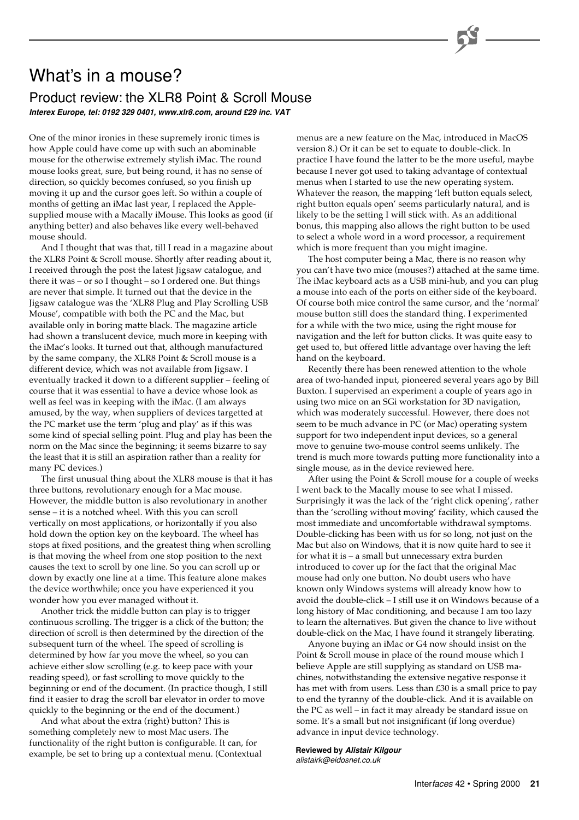## What's in a mouse?

#### Product review: the XLR8 Point & Scroll Mouse **Interex Europe, tel: 0192 329 0401, www.xlr8.com, around £29 inc. VAT**

One of the minor ironies in these supremely ironic times is how Apple could have come up with such an abominable mouse for the otherwise extremely stylish iMac. The round mouse looks great, sure, but being round, it has no sense of direction, so quickly becomes confused, so you finish up moving it up and the cursor goes left. So within a couple of months of getting an iMac last year, I replaced the Applesupplied mouse with a Macally iMouse. This looks as good (if anything better) and also behaves like every well-behaved mouse should.

And I thought that was that, till I read in a magazine about the XLR8 Point & Scroll mouse. Shortly after reading about it, I received through the post the latest Jigsaw catalogue, and there it was – or so I thought – so I ordered one. But things are never that simple. It turned out that the device in the Jigsaw catalogue was the 'XLR8 Plug and Play Scrolling USB Mouse', compatible with both the PC and the Mac, but available only in boring matte black. The magazine article had shown a translucent device, much more in keeping with the iMac's looks. It turned out that, although manufactured by the same company, the XLR8 Point & Scroll mouse is a different device, which was not available from Jigsaw. I eventually tracked it down to a different supplier – feeling of course that it was essential to have a device whose look as well as feel was in keeping with the iMac. (I am always amused, by the way, when suppliers of devices targetted at the PC market use the term 'plug and play' as if this was some kind of special selling point. Plug and play has been the norm on the Mac since the beginning; it seems bizarre to say the least that it is still an aspiration rather than a reality for many PC devices.)

The first unusual thing about the XLR8 mouse is that it has three buttons, revolutionary enough for a Mac mouse. However, the middle button is also revolutionary in another sense – it is a notched wheel. With this you can scroll vertically on most applications, or horizontally if you also hold down the option key on the keyboard. The wheel has stops at fixed positions, and the greatest thing when scrolling is that moving the wheel from one stop position to the next causes the text to scroll by one line. So you can scroll up or down by exactly one line at a time. This feature alone makes the device worthwhile; once you have experienced it you wonder how you ever managed without it.

Another trick the middle button can play is to trigger continuous scrolling. The trigger is a click of the button; the direction of scroll is then determined by the direction of the subsequent turn of the wheel. The speed of scrolling is determined by how far you move the wheel, so you can achieve either slow scrolling (e.g. to keep pace with your reading speed), or fast scrolling to move quickly to the beginning or end of the document. (In practice though, I still find it easier to drag the scroll bar elevator in order to move quickly to the beginning or the end of the document.)

And what about the extra (right) button? This is something completely new to most Mac users. The functionality of the right button is configurable. It can, for example, be set to bring up a contextual menu. (Contextual

menus are a new feature on the Mac, introduced in MacOS version 8.) Or it can be set to equate to double-click. In practice I have found the latter to be the more useful, maybe because I never got used to taking advantage of contextual menus when I started to use the new operating system. Whatever the reason, the mapping 'left button equals select, right button equals open' seems particularly natural, and is likely to be the setting I will stick with. As an additional bonus, this mapping also allows the right button to be used to select a whole word in a word processor, a requirement which is more frequent than you might imagine.

The host computer being a Mac, there is no reason why you can't have two mice (mouses?) attached at the same time. The iMac keyboard acts as a USB mini-hub, and you can plug a mouse into each of the ports on either side of the keyboard. Of course both mice control the same cursor, and the 'normal' mouse button still does the standard thing. I experimented for a while with the two mice, using the right mouse for navigation and the left for button clicks. It was quite easy to get used to, but offered little advantage over having the left hand on the keyboard.

Recently there has been renewed attention to the whole area of two-handed input, pioneered several years ago by Bill Buxton. I supervised an experiment a couple of years ago in using two mice on an SGi workstation for 3D navigation, which was moderately successful. However, there does not seem to be much advance in PC (or Mac) operating system support for two independent input devices, so a general move to genuine two-mouse control seems unlikely. The trend is much more towards putting more functionality into a single mouse, as in the device reviewed here.

After using the Point & Scroll mouse for a couple of weeks I went back to the Macally mouse to see what I missed. Surprisingly it was the lack of the 'right click opening', rather than the 'scrolling without moving' facility, which caused the most immediate and uncomfortable withdrawal symptoms. Double-clicking has been with us for so long, not just on the Mac but also on Windows, that it is now quite hard to see it for what it is – a small but unnecessary extra burden introduced to cover up for the fact that the original Mac mouse had only one button. No doubt users who have known only Windows systems will already know how to avoid the double-click – I still use it on Windows because of a long history of Mac conditioning, and because I am too lazy to learn the alternatives. But given the chance to live without double-click on the Mac, I have found it strangely liberating.

Anyone buying an iMac or G4 now should insist on the Point & Scroll mouse in place of the round mouse which I believe Apple are still supplying as standard on USB machines, notwithstanding the extensive negative response it has met with from users. Less than £30 is a small price to pay to end the tyranny of the double-click. And it is available on the PC as well – in fact it may already be standard issue on some. It's a small but not insignificant (if long overdue) advance in input device technology.

**Reviewed by Alistair Kilgour**

alistairk@eidosnet.co.uk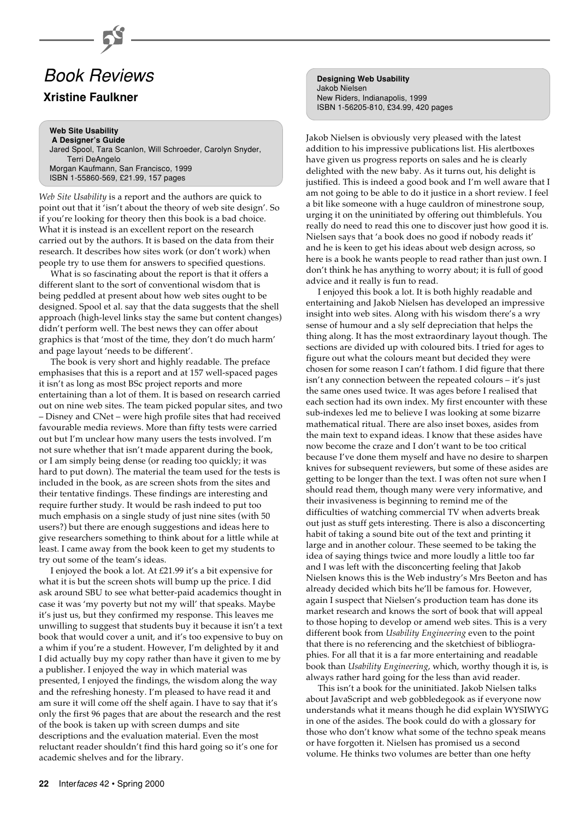## Book Reviews

#### **Xristine Faulkner**

**Web Site Usability A Designer's Guide** Jared Spool, Tara Scanlon, Will Schroeder, Carolyn Snyder, Terri DeAngelo Morgan Kaufmann, San Francisco, 1999 ISBN 1-55860-569, £21.99, 157 pages

*Web Site Usability* is a report and the authors are quick to point out that it 'isn't about the theory of web site design'. So if you're looking for theory then this book is a bad choice. What it is instead is an excellent report on the research carried out by the authors. It is based on the data from their research. It describes how sites work (or don't work) when people try to use them for answers to specified questions.

What is so fascinating about the report is that it offers a different slant to the sort of conventional wisdom that is being peddled at present about how web sites ought to be designed. Spool et al. say that the data suggests that the shell approach (high-level links stay the same but content changes) didn't perform well. The best news they can offer about graphics is that 'most of the time, they don't do much harm' and page layout 'needs to be different'.

The book is very short and highly readable. The preface emphasises that this is a report and at 157 well-spaced pages it isn't as long as most BSc project reports and more entertaining than a lot of them. It is based on research carried out on nine web sites. The team picked popular sites, and two – Disney and CNet – were high profile sites that had received favourable media reviews. More than fifty tests were carried out but I'm unclear how many users the tests involved. I'm not sure whether that isn't made apparent during the book, or I am simply being dense (or reading too quickly; it was hard to put down). The material the team used for the tests is included in the book, as are screen shots from the sites and their tentative findings. These findings are interesting and require further study. It would be rash indeed to put too much emphasis on a single study of just nine sites (with 50 users?) but there are enough suggestions and ideas here to give researchers something to think about for a little while at least. I came away from the book keen to get my students to try out some of the team's ideas.

I enjoyed the book a lot. At £21.99 it's a bit expensive for what it is but the screen shots will bump up the price. I did ask around SBU to see what better-paid academics thought in case it was 'my poverty but not my will' that speaks. Maybe it's just us, but they confirmed my response. This leaves me unwilling to suggest that students buy it because it isn't a text book that would cover a unit, and it's too expensive to buy on a whim if you're a student. However, I'm delighted by it and I did actually buy my copy rather than have it given to me by a publisher. I enjoyed the way in which material was presented, I enjoyed the findings, the wisdom along the way and the refreshing honesty. I'm pleased to have read it and am sure it will come off the shelf again. I have to say that it's only the first 96 pages that are about the research and the rest of the book is taken up with screen dumps and site descriptions and the evaluation material. Even the most reluctant reader shouldn't find this hard going so it's one for academic shelves and for the library.

**Designing Web Usability** Jakob Nielsen New Riders, Indianapolis, 1999 ISBN 1-56205-810, £34.99, 420 pages

Jakob Nielsen is obviously very pleased with the latest addition to his impressive publications list. His alertboxes have given us progress reports on sales and he is clearly delighted with the new baby. As it turns out, his delight is justified. This is indeed a good book and I'm well aware that I am not going to be able to do it justice in a short review. I feel a bit like someone with a huge cauldron of minestrone soup, urging it on the uninitiated by offering out thimblefuls. You really do need to read this one to discover just how good it is. Nielsen says that 'a book does no good if nobody reads it' and he is keen to get his ideas about web design across, so here is a book he wants people to read rather than just own. I don't think he has anything to worry about; it is full of good advice and it really is fun to read.

I enjoyed this book a lot. It is both highly readable and entertaining and Jakob Nielsen has developed an impressive insight into web sites. Along with his wisdom there's a wry sense of humour and a sly self depreciation that helps the thing along. It has the most extraordinary layout though. The sections are divided up with coloured bits. I tried for ages to figure out what the colours meant but decided they were chosen for some reason I can't fathom. I did figure that there isn't any connection between the repeated colours – it's just the same ones used twice. It was ages before I realised that each section had its own index. My first encounter with these sub-indexes led me to believe I was looking at some bizarre mathematical ritual. There are also inset boxes, asides from the main text to expand ideas. I know that these asides have now become the craze and I don't want to be too critical because I've done them myself and have no desire to sharpen knives for subsequent reviewers, but some of these asides are getting to be longer than the text. I was often not sure when I should read them, though many were very informative, and their invasiveness is beginning to remind me of the difficulties of watching commercial TV when adverts break out just as stuff gets interesting. There is also a disconcerting habit of taking a sound bite out of the text and printing it large and in another colour. These seemed to be taking the idea of saying things twice and more loudly a little too far and I was left with the disconcerting feeling that Jakob Nielsen knows this is the Web industry's Mrs Beeton and has already decided which bits he'll be famous for. However, again I suspect that Nielsen's production team has done its market research and knows the sort of book that will appeal to those hoping to develop or amend web sites. This is a very different book from *Usability Engineering* even to the point that there is no referencing and the sketchiest of bibliographies. For all that it is a far more entertaining and readable book than *Usability Engineering*, which, worthy though it is, is always rather hard going for the less than avid reader.

This isn't a book for the uninitiated. Jakob Nielsen talks about JavaScript and web gobbledegook as if everyone now understands what it means though he did explain WYSIWYG in one of the asides. The book could do with a glossary for those who don't know what some of the techno speak means or have forgotten it. Nielsen has promised us a second volume. He thinks two volumes are better than one hefty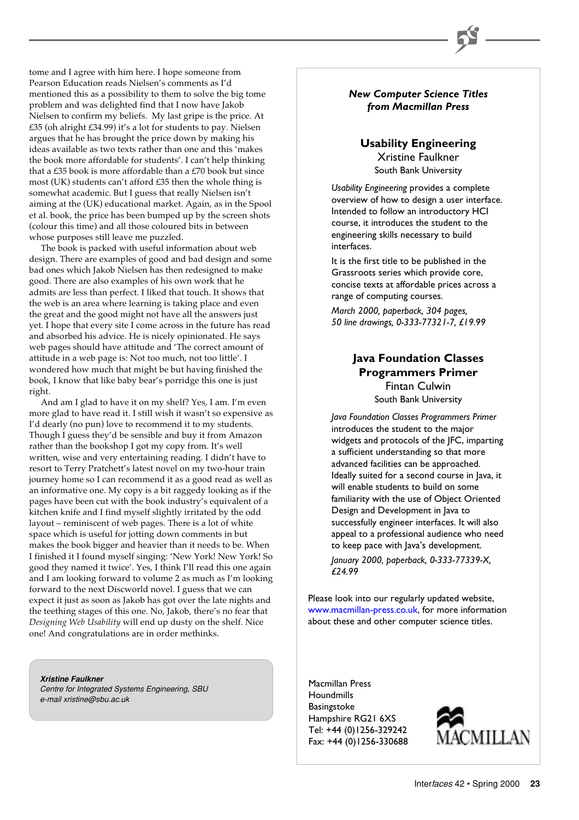tome and I agree with him here. I hope someone from Pearson Education reads Nielsen's comments as I'd mentioned this as a possibility to them to solve the big tome problem and was delighted find that I now have Jakob Nielsen to confirm my beliefs. My last gripe is the price. At £35 (oh alright £34.99) it's a lot for students to pay. Nielsen argues that he has brought the price down by making his ideas available as two texts rather than one and this 'makes the book more affordable for students'. I can't help thinking that a £35 book is more affordable than a £70 book but since most (UK) students can't afford £35 then the whole thing is somewhat academic. But I guess that really Nielsen isn't aiming at the (UK) educational market. Again, as in the Spool et al. book, the price has been bumped up by the screen shots (colour this time) and all those coloured bits in between whose purposes still leave me puzzled.

The book is packed with useful information about web design. There are examples of good and bad design and some bad ones which Jakob Nielsen has then redesigned to make good. There are also examples of his own work that he admits are less than perfect. I liked that touch. It shows that the web is an area where learning is taking place and even the great and the good might not have all the answers just yet. I hope that every site I come across in the future has read and absorbed his advice. He is nicely opinionated. He says web pages should have attitude and 'The correct amount of attitude in a web page is: Not too much, not too little'. I wondered how much that might be but having finished the book, I know that like baby bear's porridge this one is just right.

And am I glad to have it on my shelf? Yes, I am. I'm even more glad to have read it. I still wish it wasn't so expensive as I'd dearly (no pun) love to recommend it to my students. Though I guess they'd be sensible and buy it from Amazon rather than the bookshop I got my copy from. It's well written, wise and very entertaining reading. I didn't have to resort to Terry Pratchett's latest novel on my two-hour train journey home so I can recommend it as a good read as well as an informative one. My copy is a bit raggedy looking as if the pages have been cut with the book industry's equivalent of a kitchen knife and I find myself slightly irritated by the odd layout – reminiscent of web pages. There is a lot of white space which is useful for jotting down comments in but makes the book bigger and heavier than it needs to be. When I finished it I found myself singing: 'New York! New York! So good they named it twice'. Yes, I think I'll read this one again and I am looking forward to volume 2 as much as I'm looking forward to the next Discworld novel. I guess that we can expect it just as soon as Jakob has got over the late nights and the teething stages of this one. No, Jakob, there's no fear that *Designing Web Usability* will end up dusty on the shelf. Nice one! And congratulations are in order methinks.

**Xristine Faulkner** Centre for Integrated Systems Engineering, SBU e-mail xristine@sbu.ac.uk

#### *New Computer Science Titles from Macmillan Press*

### **Usability Engineering**

Xristine Faulkner South Bank University

*Usability Engineering* provides a complete overview of how to design a user interface. Intended to follow an introductory HCI course, it introduces the student to the engineering skills necessary to build interfaces.

It is the first title to be published in the Grassroots series which provide core, concise texts at affordable prices across a range of computing courses.

*March 2000, paperback, 304 pages, 50 line drawings, 0-333-77321-7, £19.99*

#### **Java Foundation Classes Programmers Primer** Fintan Culwin South Bank University

*Java Foundation Classes Programmers Primer* introduces the student to the major widgets and protocols of the JFC, imparting a sufficient understanding so that more advanced facilities can be approached. Ideally suited for a second course in Java, it will enable students to build on some familiarity with the use of Object Oriented Design and Development in Java to successfully engineer interfaces. It will also appeal to a professional audience who need to keep pace with Java's development.

*January 2000, paperback, 0-333-77339-X, £24.99*

Please look into our regularly updated website, [www.macmillan-press.co.uk,](http://www.macmillan-press.co.uk) for more information about these and other computer science titles.

Macmillan Press **Houndmills** Basingstoke Hampshire RG21 6XS Tel: +44 (0)1256-329242 Fax: +44 (0)1256-330688

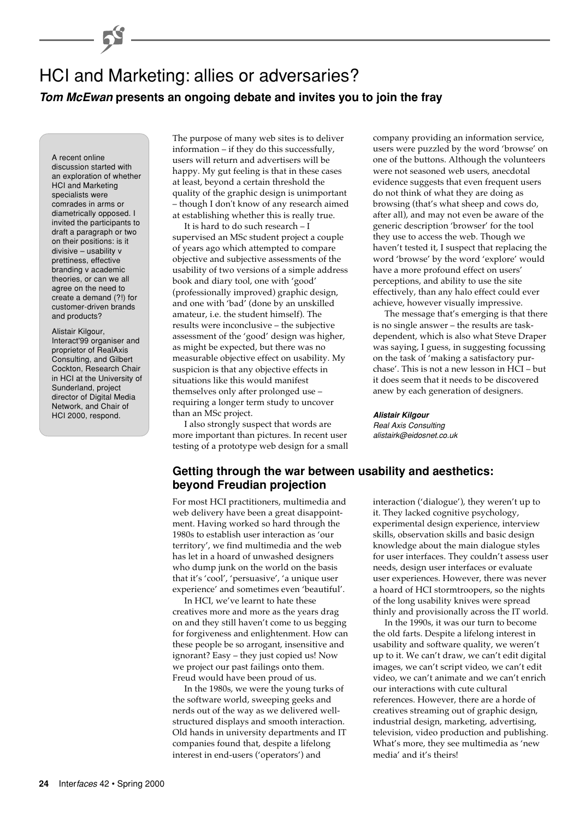## HCI and Marketing: allies or adversaries? **Tom McEwan presents an ongoing debate and invites you to join the fray**

A recent online discussion started with an exploration of whether HCI and Marketing specialists were comrades in arms or diametrically opposed. I invited the participants to draft a paragraph or two on their positions: is it divisive – usability v prettiness, effective branding v academic theories, or can we all agree on the need to create a demand (?!) for customer-driven brands and products?

#### Alistair Kilgour,

Interact'99 organiser and proprietor of RealAxis Consulting, and Gilbert Cockton, Research Chair in HCI at the University of Sunderland, project director of Digital Media Network, and Chair of HCI 2000, respond.

The purpose of many web sites is to deliver information – if they do this successfully, users will return and advertisers will be happy. My gut feeling is that in these cases at least, beyond a certain threshold the quality of the graphic design is unimportant – though I don't know of any research aimed at establishing whether this is really true.

It is hard to do such research – I supervised an MSc student project a couple of years ago which attempted to compare objective and subjective assessments of the usability of two versions of a simple address book and diary tool, one with 'good' (professionally improved) graphic design, and one with 'bad' (done by an unskilled amateur, i.e. the student himself). The results were inconclusive – the subjective assessment of the 'good' design was higher, as might be expected, but there was no measurable objective effect on usability. My suspicion is that any objective effects in situations like this would manifest themselves only after prolonged use – requiring a longer term study to uncover than an MSc project.

I also strongly suspect that words are more important than pictures. In recent user testing of a prototype web design for a small company providing an information service, users were puzzled by the word 'browse' on one of the buttons. Although the volunteers were not seasoned web users, anecdotal evidence suggests that even frequent users do not think of what they are doing as browsing (that's what sheep and cows do, after all), and may not even be aware of the generic description 'browser' for the tool they use to access the web. Though we haven't tested it, I suspect that replacing the word 'browse' by the word 'explore' would have a more profound effect on users' perceptions, and ability to use the site effectively, than any halo effect could ever achieve, however visually impressive.

The message that's emerging is that there is no single answer – the results are taskdependent, which is also what Steve Draper was saying, I guess, in suggesting focussing on the task of 'making a satisfactory purchase'. This is not a new lesson in HCI – but it does seem that it needs to be discovered anew by each generation of designers.

**Alistair Kilgour** Real Axis Consulting alistairk@eidosnet.co.uk

#### **Getting through the war between usability and aesthetics: beyond Freudian projection**

For most HCI practitioners, multimedia and web delivery have been a great disappointment. Having worked so hard through the 1980s to establish user interaction as 'our territory', we find multimedia and the web has let in a hoard of unwashed designers who dump junk on the world on the basis that it's 'cool', 'persuasive', 'a unique user experience' and sometimes even 'beautiful'.

In HCI, we've learnt to hate these creatives more and more as the years drag on and they still haven't come to us begging for forgiveness and enlightenment. How can these people be so arrogant, insensitive and ignorant? Easy – they just copied us! Now we project our past failings onto them. Freud would have been proud of us.

In the 1980s, we were the young turks of the software world, sweeping geeks and nerds out of the way as we delivered wellstructured displays and smooth interaction. Old hands in university departments and IT companies found that, despite a lifelong interest in end-users ('operators') and

interaction ('dialogue'), they weren't up to it. They lacked cognitive psychology, experimental design experience, interview skills, observation skills and basic design knowledge about the main dialogue styles for user interfaces. They couldn't assess user needs, design user interfaces or evaluate user experiences. However, there was never a hoard of HCI stormtroopers, so the nights of the long usability knives were spread thinly and provisionally across the IT world.

In the 1990s, it was our turn to become the old farts. Despite a lifelong interest in usability and software quality, we weren't up to it. We can't draw, we can't edit digital images, we can't script video, we can't edit video, we can't animate and we can't enrich our interactions with cute cultural references. However, there are a horde of creatives streaming out of graphic design, industrial design, marketing, advertising, television, video production and publishing. What's more, they see multimedia as 'new media' and it's theirs!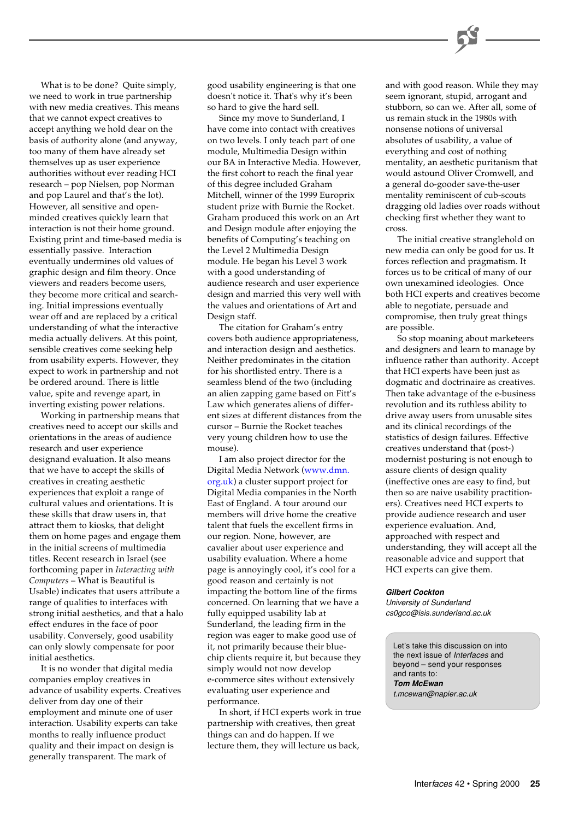What is to be done? Quite simply, we need to work in true partnership with new media creatives. This means that we cannot expect creatives to accept anything we hold dear on the basis of authority alone (and anyway, too many of them have already set themselves up as user experience authorities without ever reading HCI research – pop Nielsen, pop Norman and pop Laurel and that's the lot). However, all sensitive and openminded creatives quickly learn that interaction is not their home ground. Existing print and time-based media is essentially passive. Interaction eventually undermines old values of graphic design and film theory. Once viewers and readers become users, they become more critical and searching. Initial impressions eventually wear off and are replaced by a critical understanding of what the interactive media actually delivers. At this point, sensible creatives come seeking help from usability experts. However, they expect to work in partnership and not be ordered around. There is little value, spite and revenge apart, in inverting existing power relations.

Working in partnership means that creatives need to accept our skills and orientations in the areas of audience research and user experience designand evaluation. It also means that we have to accept the skills of creatives in creating aesthetic experiences that exploit a range of cultural values and orientations. It is these skills that draw users in, that attract them to kiosks, that delight them on home pages and engage them in the initial screens of multimedia titles. Recent research in Israel (see forthcoming paper in *Interacting with Computers* – What is Beautiful is Usable) indicates that users attribute a range of qualities to interfaces with strong initial aesthetics, and that a halo effect endures in the face of poor usability. Conversely, good usability can only slowly compensate for poor initial aesthetics.

It is no wonder that digital media companies employ creatives in advance of usability experts. Creatives deliver from day one of their employment and minute one of user interaction. Usability experts can take months to really influence product quality and their impact on design is generally transparent. The mark of

good usability engineering is that one doesn't notice it. That's why it's been so hard to give the hard sell.

Since my move to Sunderland, I have come into contact with creatives on two levels. I only teach part of one module, Multimedia Design within our BA in Interactive Media. However, the first cohort to reach the final year of this degree included Graham Mitchell, winner of the 1999 Europrix student prize with Burnie the Rocket. Graham produced this work on an Art and Design module after enjoying the benefits of Computing's teaching on the Level 2 Multimedia Design module. He began his Level 3 work with a good understanding of audience research and user experience design and married this very well with the values and orientations of Art and Design staff.

The citation for Graham's entry covers both audience appropriateness, and interaction design and aesthetics. Neither predominates in the citation for his shortlisted entry. There is a seamless blend of the two (including an alien zapping game based on Fitt's Law which generates aliens of different sizes at different distances from the cursor – Burnie the Rocket teaches very young children how to use the mouse).

I am also project director for the [Digital Media Network \(www.dmn.](www.dmn.org.uk) org.uk) a cluster support project for Digital Media companies in the North East of England. A tour around our members will drive home the creative talent that fuels the excellent firms in our region. None, however, are cavalier about user experience and usability evaluation. Where a home page is annoyingly cool, it's cool for a good reason and certainly is not impacting the bottom line of the firms concerned. On learning that we have a fully equipped usability lab at Sunderland, the leading firm in the region was eager to make good use of it, not primarily because their bluechip clients require it, but because they simply would not now develop e-commerce sites without extensively evaluating user experience and performance.

In short, if HCI experts work in true partnership with creatives, then great things can and do happen. If we lecture them, they will lecture us back,

and with good reason. While they may seem ignorant, stupid, arrogant and stubborn, so can we. After all, some of us remain stuck in the 1980s with nonsense notions of universal absolutes of usability, a value of everything and cost of nothing mentality, an aesthetic puritanism that would astound Oliver Cromwell, and a general do-gooder save-the-user mentality reminiscent of cub-scouts dragging old ladies over roads without checking first whether they want to cross.

The initial creative stranglehold on new media can only be good for us. It forces reflection and pragmatism. It forces us to be critical of many of our own unexamined ideologies. Once both HCI experts and creatives become able to negotiate, persuade and compromise, then truly great things are possible.

So stop moaning about marketeers and designers and learn to manage by influence rather than authority. Accept that HCI experts have been just as dogmatic and doctrinaire as creatives. Then take advantage of the e-business revolution and its ruthless ability to drive away users from unusable sites and its clinical recordings of the statistics of design failures. Effective creatives understand that (post-) modernist posturing is not enough to assure clients of design quality (ineffective ones are easy to find, but then so are naive usability practitioners). Creatives need HCI experts to provide audience research and user experience evaluation. And, approached with respect and understanding, they will accept all the reasonable advice and support that HCI experts can give them.

#### **Gilbert Cockton**

University of Sunderland cs0gco@isis.sunderland.ac.uk

Let's take this discussion on into the next issue of Interfaces and beyond – send your responses and rants to: **Tom McEwan** t.mcewan@napier.ac.uk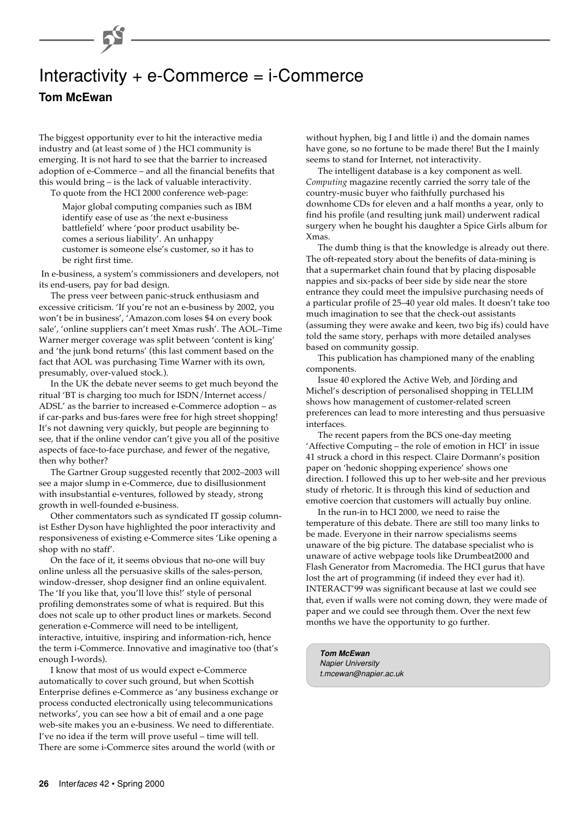## Interactivity + e-Commerce = i-Commerce

**Tom McEwan**

The biggest opportunity ever to hit the interactive media industry and (at least some of ) the HCI community is emerging. It is not hard to see that the barrier to increased adoption of e-Commerce – and all the financial benefits that this would bring – is the lack of valuable interactivity.

To quote from the HCI 2000 conference web-page:

Major global computing companies such as IBM identify ease of use as 'the next e-business battlefield' where 'poor product usability becomes a serious liability'. An unhappy customer is someone else's customer, so it has to be right first time.

 In e-business, a system's commissioners and developers, not its end-users, pay for bad design.

The press veer between panic-struck enthusiasm and excessive criticism. 'If you're not an e-business by 2002, you won't be in business', 'Amazon.com loses \$4 on every book sale', 'online suppliers can't meet Xmas rush'. The AOL–Time Warner merger coverage was split between 'content is king' and 'the junk bond returns' (this last comment based on the fact that AOL was purchasing Time Warner with its own, presumably, over-valued stock.).

In the UK the debate never seems to get much beyond the ritual 'BT is charging too much for ISDN/Internet access/ ADSL' as the barrier to increased e-Commerce adoption – as if car-parks and bus-fares were free for high street shopping! It's not dawning very quickly, but people are beginning to see, that if the online vendor can't give you all of the positive aspects of face-to-face purchase, and fewer of the negative, then why bother?

The Gartner Group suggested recently that 2002–2003 will see a major slump in e-Commerce, due to disillusionment with insubstantial e-ventures, followed by steady, strong growth in well-founded e-business.

Other commentators such as syndicated IT gossip columnist Esther Dyson have highlighted the poor interactivity and responsiveness of existing e-Commerce sites 'Like opening a shop with no staff'.

On the face of it, it seems obvious that no-one will buy online unless all the persuasive skills of the sales-person, window-dresser, shop designer find an online equivalent. The 'If you like that, you'll love this!' style of personal profiling demonstrates some of what is required. But this does not scale up to other product lines or markets. Second generation e-Commerce will need to be intelligent, interactive, intuitive, inspiring and information-rich, hence the term i-Commerce. Innovative and imaginative too (that's enough I-words).

I know that most of us would expect e-Commerce automatically to cover such ground, but when Scottish Enterprise defines e-Commerce as 'any business exchange or process conducted electronically using telecommunications networks', you can see how a bit of email and a one page web-site makes you an e-business. We need to differentiate. I've no idea if the term will prove useful – time will tell. There are some i-Commerce sites around the world (with or

without hyphen, big I and little i) and the domain names have gone, so no fortune to be made there! But the I mainly seems to stand for Internet, not interactivity.

The intelligent database is a key component as well. *Computing* magazine recently carried the sorry tale of the country-music buyer who faithfully purchased his downhome CDs for eleven and a half months a year, only to find his profile (and resulting junk mail) underwent radical surgery when he bought his daughter a Spice Girls album for Xmas.

The dumb thing is that the knowledge is already out there. The oft-repeated story about the benefits of data-mining is that a supermarket chain found that by placing disposable nappies and six-packs of beer side by side near the store entrance they could meet the impulsive purchasing needs of a particular profile of 25–40 year old males. It doesn't take too much imagination to see that the check-out assistants (assuming they were awake and keen, two big ifs) could have told the same story, perhaps with more detailed analyses based on community gossip.

This publication has championed many of the enabling components.

Issue 40 explored the Active Web, and Jörding and Michel's description of personalised shopping in TELLIM shows how management of customer-related screen preferences can lead to more interesting and thus persuasive interfaces.

The recent papers from the BCS one-day meeting 'Affective Computing – the role of emotion in HCI' in issue 41 struck a chord in this respect. Claire Dormann's position paper on 'hedonic shopping experience' shows one direction. I followed this up to her web-site and her previous study of rhetoric. It is through this kind of seduction and emotive coercion that customers will actually buy online.

In the run-in to HCI 2000, we need to raise the temperature of this debate. There are still too many links to be made. Everyone in their narrow specialisms seems unaware of the big picture. The database specialist who is unaware of active webpage tools like Drumbeat2000 and Flash Generator from Macromedia. The HCI gurus that have lost the art of programming (if indeed they ever had it). INTERACT'99 was significant because at last we could see that, even if walls were not coming down, they were made of paper and we could see through them. Over the next few months we have the opportunity to go further.

**Tom McEwan** Napier University t.mcewan@napier.ac.uk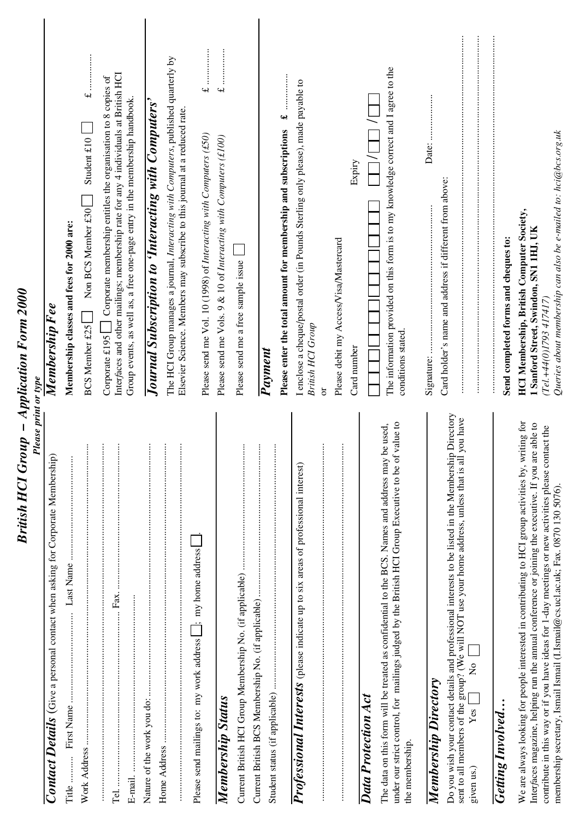| British HCI Group – Application Form 2000<br><b>Please print or type</b>                                                                                                                                                                                                                                                                                                                                 |                                                                                                                                                                                                                                                       |
|----------------------------------------------------------------------------------------------------------------------------------------------------------------------------------------------------------------------------------------------------------------------------------------------------------------------------------------------------------------------------------------------------------|-------------------------------------------------------------------------------------------------------------------------------------------------------------------------------------------------------------------------------------------------------|
| Contact Details (Give a personal contact when asking for Corporate Membership)                                                                                                                                                                                                                                                                                                                           | Membership F ee                                                                                                                                                                                                                                       |
| Title                                                                                                                                                                                                                                                                                                                                                                                                    | Membership classes and fees for 2000 are:                                                                                                                                                                                                             |
| $\vdots$                                                                                                                                                                                                                                                                                                                                                                                                 | Student $£10$<br>Non BCS Member £30<br><b>BCS Member £25</b>                                                                                                                                                                                          |
| ŧ<br>$\vdots$<br>Fax.                                                                                                                                                                                                                                                                                                                                                                                    | Interfaces and other mailings; membership rate for any 4 individuals at British HCI<br>Corporate membership entitles the organisation to 8 copies of<br>Group events, as well as, a free one-page entry in the membership handbook.<br>Corporate £195 |
| $\vdots$<br>Nature of the work you do:                                                                                                                                                                                                                                                                                                                                                                   | Journal Subscription to 'Interacting with Computers'                                                                                                                                                                                                  |
| $\vdots$<br>$\vdots$                                                                                                                                                                                                                                                                                                                                                                                     | The HCI Group manages a journal, Interacting with Computers, published quarterly by<br>Elsevier Science. Members may subscribe to this journal at a reduced rate.                                                                                     |
| Please send mailings to: my work address [_______; my home address                                                                                                                                                                                                                                                                                                                                       | Please send me Vol. 10 (1998) of Interacting with Computers (£50)                                                                                                                                                                                     |
| Membership Status                                                                                                                                                                                                                                                                                                                                                                                        | .<br>.<br>.<br>.<br>.<br>.<br>.<br>.<br>$\rightarrow$<br>Please send me Vols. 9 & 10 of Interacting with Computers (£100)                                                                                                                             |
| $\vdots$                                                                                                                                                                                                                                                                                                                                                                                                 | Please send me a free sample issue                                                                                                                                                                                                                    |
| $\vdots$                                                                                                                                                                                                                                                                                                                                                                                                 |                                                                                                                                                                                                                                                       |
|                                                                                                                                                                                                                                                                                                                                                                                                          | વનટે<br>Please enter the total amount for membership and subscriptions<br>Payment                                                                                                                                                                     |
| Professional Interests (please indicate up to six areas of professional interest)                                                                                                                                                                                                                                                                                                                        | I enclose a cheque/postal order (in Pounds Sterling only please), made payable to<br>British HCI Group                                                                                                                                                |
| $\vdots$<br>$\vdots$                                                                                                                                                                                                                                                                                                                                                                                     | Please debit my Access/Visa/Mastercard<br>$\overline{\sigma}$                                                                                                                                                                                         |
| Data Protection Act                                                                                                                                                                                                                                                                                                                                                                                      | Expiry<br>Card number                                                                                                                                                                                                                                 |
| value to<br>The data on this form will be treated as confidential to the BCS. Names and address may be used,<br>under our strict control, for mailings judged by the British HCI Group Executive to be of<br>the membership.                                                                                                                                                                             | The information provided on this form is to my knowledge correct and I agree to the<br>conditions stated.                                                                                                                                             |
| Membership Directory                                                                                                                                                                                                                                                                                                                                                                                     |                                                                                                                                                                                                                                                       |
| Directory<br>you have<br>Do you wish your contact details and professional interests to be listed in the Membership<br>sent to all members of the group? (We will NOT use your home address, unless that is all<br>$\overline{R}$<br>Yes <sub>1</sub><br>given us.)                                                                                                                                      | Card holder's name and address if different from above:                                                                                                                                                                                               |
| <b>Getting Involved</b>                                                                                                                                                                                                                                                                                                                                                                                  | Send completed forms and cheques to:                                                                                                                                                                                                                  |
| We are always looking for people interested in contributing to HCI group activities by, writing for<br>able to<br>contribute in this way or if you have ideas for 1-day meetings or new activities please contact the<br>Interfaces magazine, helping run the annual conference or joining the executive. If you are<br>membership secretary, Ismail Ismail (I.Ismail@cs.ucl.ac.uk; Fax. 0870 130 5076). | Queries about membership can also be e-mailed to: hci@bcs.org.uk<br><b>HCI Membership, British Computer Society,</b><br>1 Sanford Street, Swindon, SN1 1HJ, UK<br>(Tel.+44(0)1793 417417)                                                             |